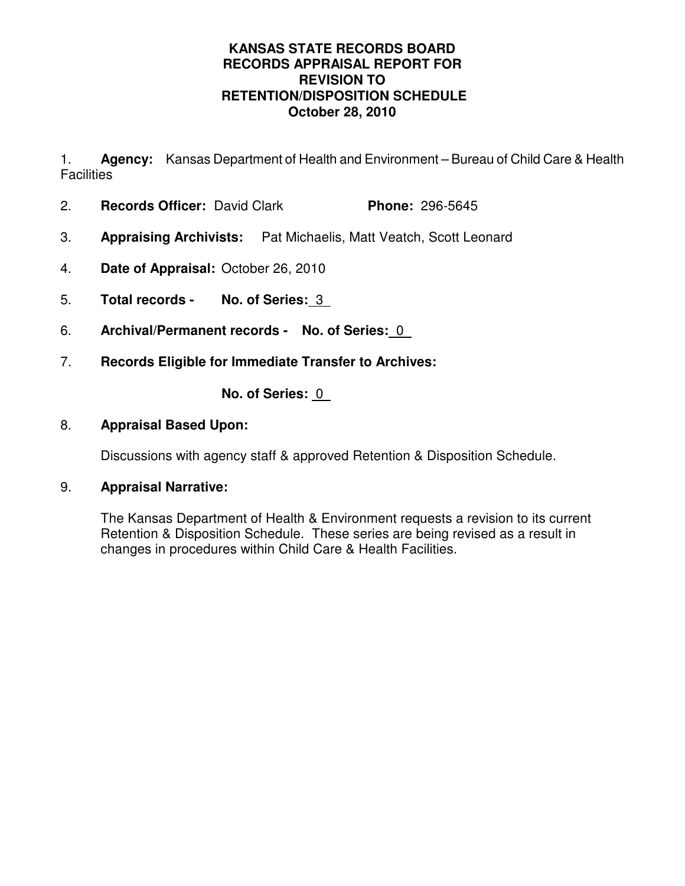## **KANSAS STATE RECORDS BOARD RECORDS APPRAISAL REPORT FOR REVISION TO RETENTION/DISPOSITION SCHEDULE October 28, 2010**

1. **Agency:** Kansas Department of Health and Environment – Bureau of Child Care & Health **Facilities** 

- 2. **Records Officer:** David Clark **Phone:** 296-5645
- 3. **Appraising Archivists:** Pat Michaelis, Matt Veatch, Scott Leonard
- 4. **Date of Appraisal:** October 26, 2010
- 5. **Total records No. of Series:** 3
- 6. **Archival/Permanent records No. of Series:** 0
- 7. **Records Eligible for Immediate Transfer to Archives:**

**No. of Series:** 0

# 8. **Appraisal Based Upon:**

Discussions with agency staff & approved Retention & Disposition Schedule.

## 9. **Appraisal Narrative:**

The Kansas Department of Health & Environment requests a revision to its current Retention & Disposition Schedule. These series are being revised as a result in changes in procedures within Child Care & Health Facilities.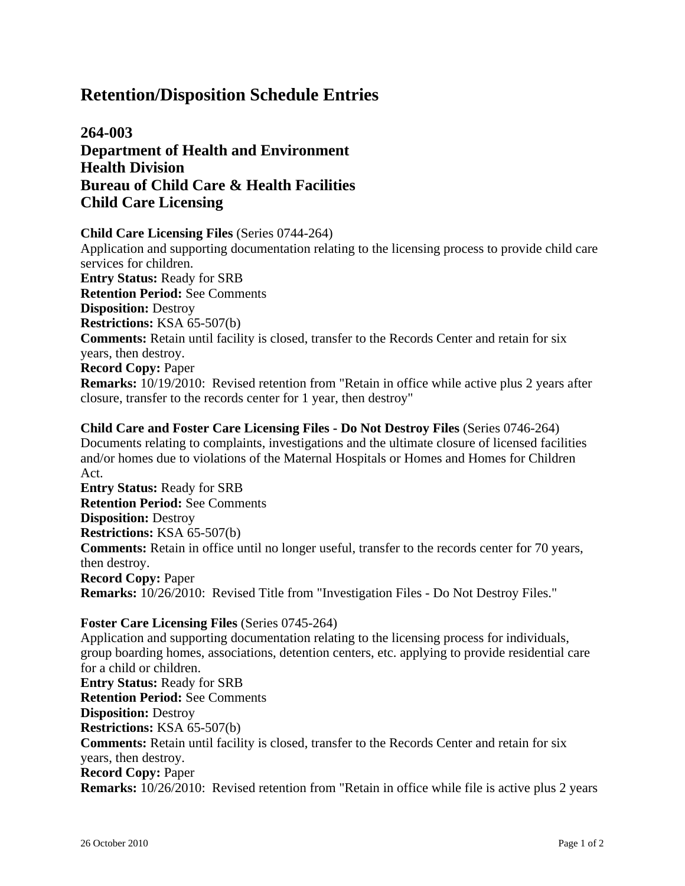**264-003 Department of Health and Environment Health Division Bureau of Child Care & Health Facilities Child Care Licensing**

#### **Child Care Licensing Files** (Series 0744-264)

Application and supporting documentation relating to the licensing process to provide child care services for children. **Entry Status:** Ready for SRB **Retention Period:** See Comments **Disposition:** Destroy **Restrictions:** KSA 65-507(b) **Comments:** Retain until facility is closed, transfer to the Records Center and retain for six years, then destroy. **Record Copy:** Paper **Remarks:** 10/19/2010: Revised retention from "Retain in office while active plus 2 years after closure, transfer to the records center for 1 year, then destroy"

**Child Care and Foster Care Licensing Files - Do Not Destroy Files** (Series 0746-264) Documents relating to complaints, investigations and the ultimate closure of licensed facilities and/or homes due to violations of the Maternal Hospitals or Homes and Homes for Children Act.

**Entry Status:** Ready for SRB **Retention Period:** See Comments **Disposition:** Destroy **Restrictions:** KSA 65-507(b) **Comments:** Retain in office until no longer useful, transfer to the records center for 70 years, then destroy. **Record Copy:** Paper **Remarks:** 10/26/2010: Revised Title from "Investigation Files - Do Not Destroy Files."

**Foster Care Licensing Files** (Series 0745-264)

Application and supporting documentation relating to the licensing process for individuals, group boarding homes, associations, detention centers, etc. applying to provide residential care for a child or children.

**Entry Status:** Ready for SRB **Retention Period:** See Comments **Disposition:** Destroy **Restrictions:** KSA 65-507(b) **Comments:** Retain until facility is closed, transfer to the Records Center and retain for six years, then destroy. **Record Copy:** Paper

**Remarks:** 10/26/2010: Revised retention from "Retain in office while file is active plus 2 years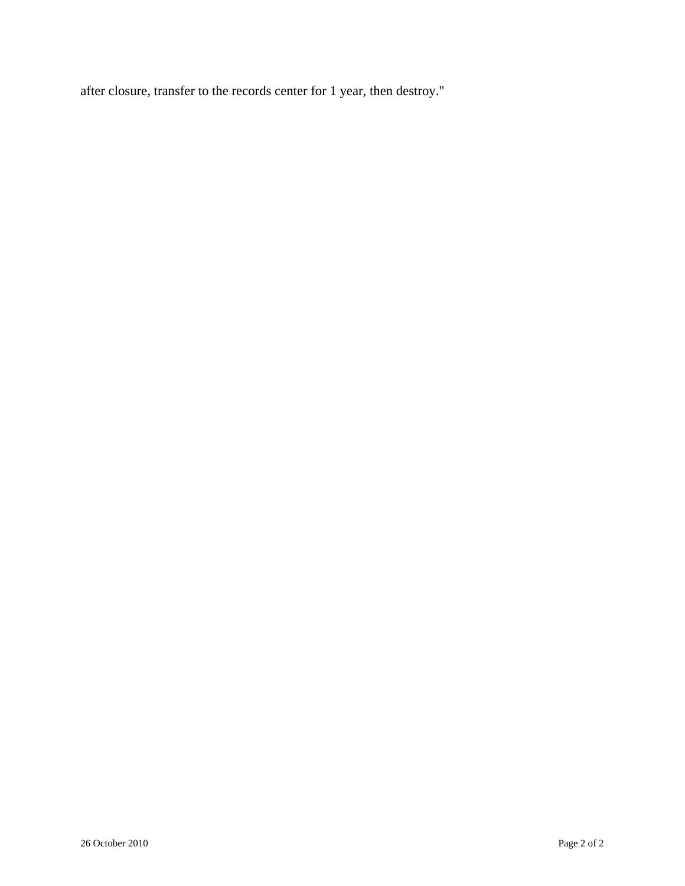after closure, transfer to the records center for 1 year, then destroy."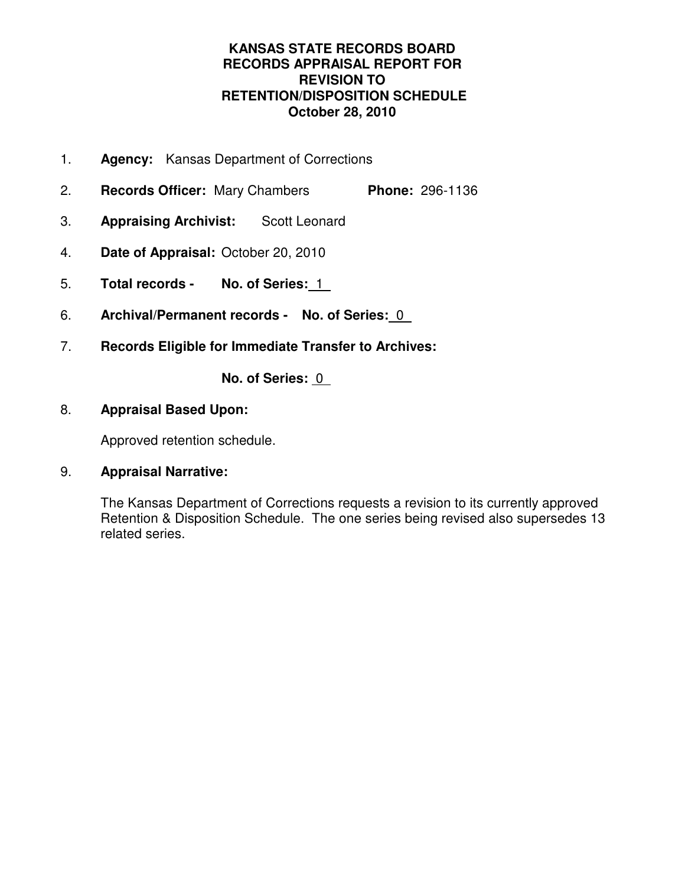## **KANSAS STATE RECORDS BOARD RECORDS APPRAISAL REPORT FOR REVISION TO RETENTION/DISPOSITION SCHEDULE October 28, 2010**

- 1. **Agency:** Kansas Department of Corrections
- 2. **Records Officer:** Mary Chambers **Phone:** 296-1136
- 3. **Appraising Archivist:** Scott Leonard
- 4. **Date of Appraisal:** October 20, 2010
- 5. **Total records No. of Series:** 1
- 6. **Archival/Permanent records No. of Series:** 0
- 7. **Records Eligible for Immediate Transfer to Archives:**

**No. of Series:** 0

## 8. **Appraisal Based Upon:**

Approved retention schedule.

## 9. **Appraisal Narrative:**

The Kansas Department of Corrections requests a revision to its currently approved Retention & Disposition Schedule. The one series being revised also supersedes 13 related series.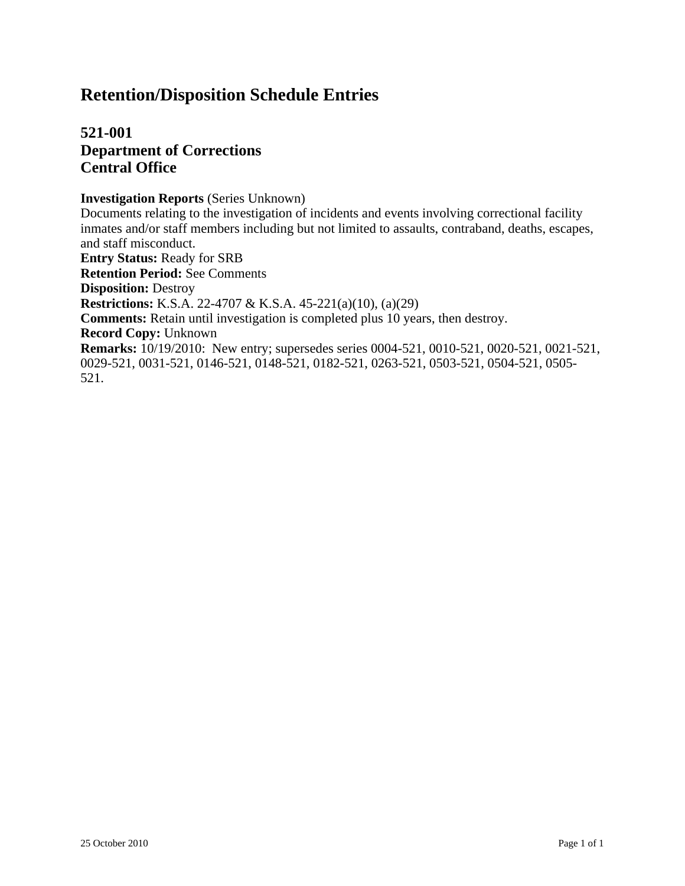# **521-001 Department of Corrections Central Office**

#### **Investigation Reports** (Series Unknown)

Documents relating to the investigation of incidents and events involving correctional facility inmates and/or staff members including but not limited to assaults, contraband, deaths, escapes, and staff misconduct. **Entry Status:** Ready for SRB **Retention Period:** See Comments **Disposition:** Destroy **Restrictions:** K.S.A. 22-4707 & K.S.A. 45-221(a)(10), (a)(29) **Comments:** Retain until investigation is completed plus 10 years, then destroy. **Record Copy:** Unknown **Remarks:** 10/19/2010: New entry; supersedes series 0004-521, 0010-521, 0020-521, 0021-521, 0029-521, 0031-521, 0146-521, 0148-521, 0182-521, 0263-521, 0503-521, 0504-521, 0505-

521.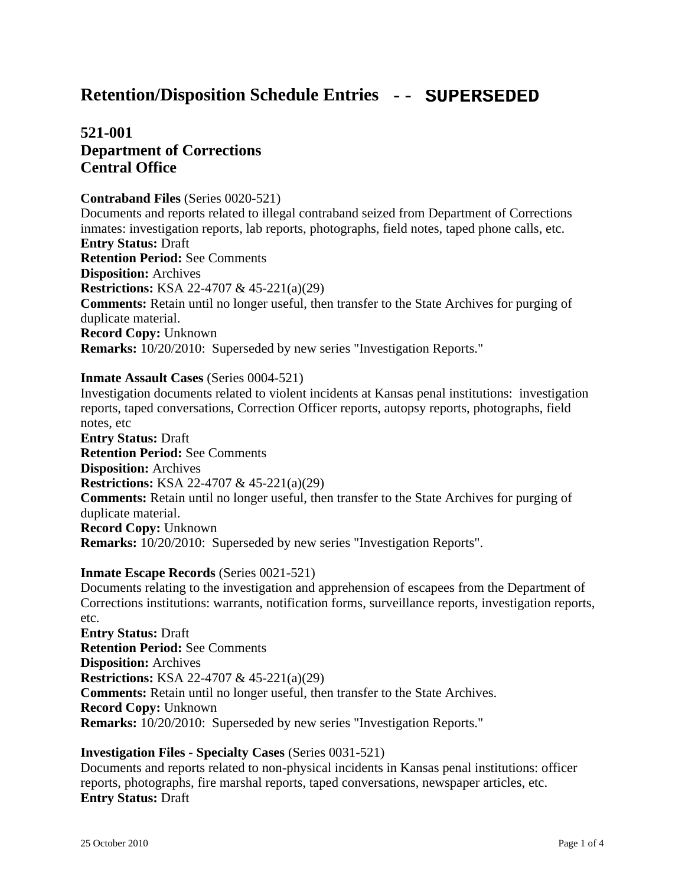# **Retention/Disposition Schedule Entries** -- **SUPERSEDED**

# **521-001 Department of Corrections Central Office**

#### **Contraband Files** (Series 0020-521)

Documents and reports related to illegal contraband seized from Department of Corrections inmates: investigation reports, lab reports, photographs, field notes, taped phone calls, etc. **Entry Status:** Draft **Retention Period:** See Comments **Disposition:** Archives **Restrictions:** KSA 22-4707 & 45-221(a)(29) **Comments:** Retain until no longer useful, then transfer to the State Archives for purging of duplicate material. **Record Copy:** Unknown **Remarks:** 10/20/2010: Superseded by new series "Investigation Reports."

#### **Inmate Assault Cases** (Series 0004-521)

Investigation documents related to violent incidents at Kansas penal institutions: investigation reports, taped conversations, Correction Officer reports, autopsy reports, photographs, field notes, etc **Entry Status:** Draft **Retention Period:** See Comments **Disposition:** Archives **Restrictions:** KSA 22-4707 & 45-221(a)(29) **Comments:** Retain until no longer useful, then transfer to the State Archives for purging of duplicate material. **Record Copy:** Unknown **Remarks:** 10/20/2010: Superseded by new series "Investigation Reports".

#### **Inmate Escape Records** (Series 0021-521)

Documents relating to the investigation and apprehension of escapees from the Department of Corrections institutions: warrants, notification forms, surveillance reports, investigation reports, etc.

**Entry Status:** Draft **Retention Period:** See Comments **Disposition:** Archives **Restrictions:** KSA 22-4707 & 45-221(a)(29) **Comments:** Retain until no longer useful, then transfer to the State Archives. **Record Copy:** Unknown **Remarks:** 10/20/2010: Superseded by new series "Investigation Reports."

## **Investigation Files - Specialty Cases** (Series 0031-521)

Documents and reports related to non-physical incidents in Kansas penal institutions: officer reports, photographs, fire marshal reports, taped conversations, newspaper articles, etc. **Entry Status:** Draft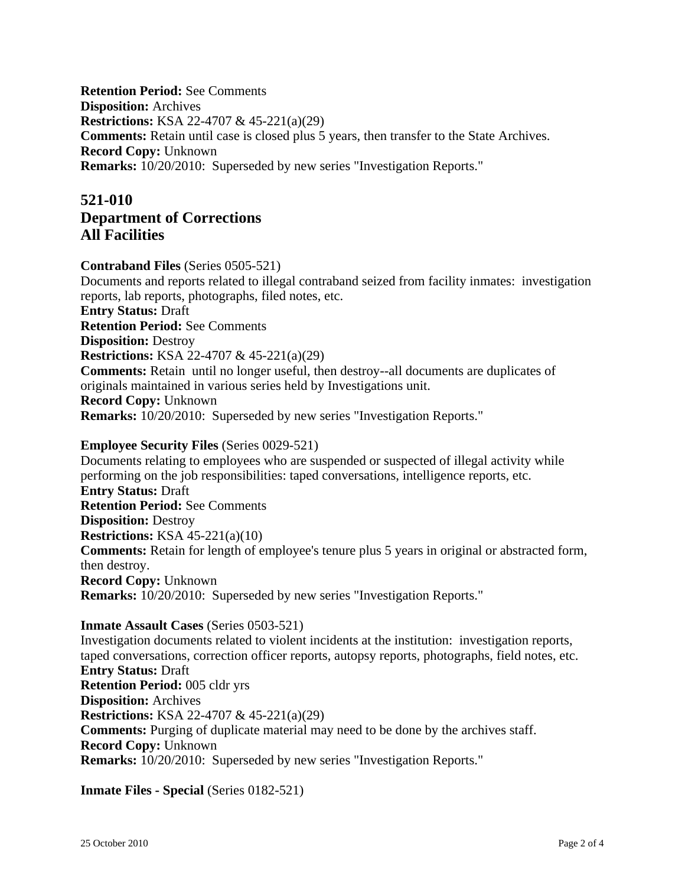**Retention Period:** See Comments **Disposition:** Archives **Restrictions:** KSA 22-4707 & 45-221(a)(29) **Comments:** Retain until case is closed plus 5 years, then transfer to the State Archives. **Record Copy:** Unknown **Remarks:** 10/20/2010: Superseded by new series "Investigation Reports."

# **521-010 Department of Corrections All Facilities**

**Contraband Files** (Series 0505-521)

Documents and reports related to illegal contraband seized from facility inmates: investigation reports, lab reports, photographs, filed notes, etc.

**Entry Status:** Draft

**Retention Period:** See Comments

**Disposition:** Destroy

**Restrictions:** KSA 22-4707 & 45-221(a)(29)

**Comments:** Retain until no longer useful, then destroy--all documents are duplicates of originals maintained in various series held by Investigations unit.

**Record Copy:** Unknown

**Remarks:** 10/20/2010: Superseded by new series "Investigation Reports."

#### **Employee Security Files** (Series 0029-521)

Documents relating to employees who are suspended or suspected of illegal activity while performing on the job responsibilities: taped conversations, intelligence reports, etc. **Entry Status:** Draft **Retention Period:** See Comments **Disposition:** Destroy **Restrictions:** KSA 45-221(a)(10) **Comments:** Retain for length of employee's tenure plus 5 years in original or abstracted form, then destroy. **Record Copy:** Unknown **Remarks:** 10/20/2010: Superseded by new series "Investigation Reports."

#### **Inmate Assault Cases** (Series 0503-521)

Investigation documents related to violent incidents at the institution: investigation reports, taped conversations, correction officer reports, autopsy reports, photographs, field notes, etc. **Entry Status:** Draft **Retention Period:** 005 cldr yrs **Disposition:** Archives **Restrictions:** KSA 22-4707 & 45-221(a)(29) **Comments:** Purging of duplicate material may need to be done by the archives staff. **Record Copy:** Unknown **Remarks:** 10/20/2010: Superseded by new series "Investigation Reports."

## **Inmate Files - Special** (Series 0182-521)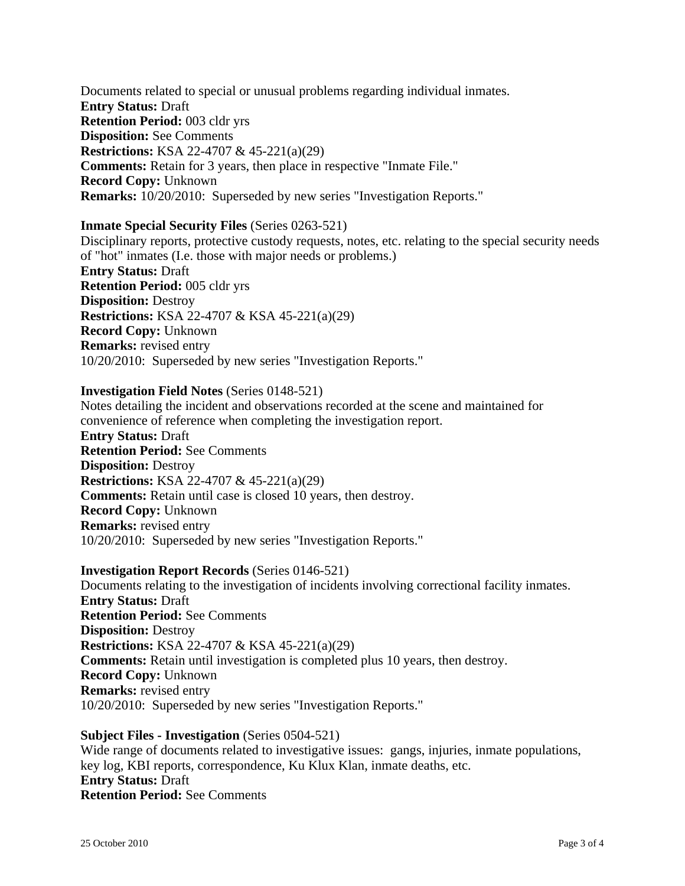Documents related to special or unusual problems regarding individual inmates. **Entry Status:** Draft **Retention Period:** 003 cldr yrs **Disposition:** See Comments **Restrictions:** KSA 22-4707 & 45-221(a)(29) **Comments:** Retain for 3 years, then place in respective "Inmate File." **Record Copy:** Unknown **Remarks:** 10/20/2010: Superseded by new series "Investigation Reports."

#### **Inmate Special Security Files** (Series 0263-521)

Disciplinary reports, protective custody requests, notes, etc. relating to the special security needs of "hot" inmates (I.e. those with major needs or problems.) **Entry Status:** Draft **Retention Period:** 005 cldr yrs **Disposition:** Destroy **Restrictions:** KSA 22-4707 & KSA 45-221(a)(29) **Record Copy:** Unknown **Remarks:** revised entry 10/20/2010: Superseded by new series "Investigation Reports."

#### **Investigation Field Notes** (Series 0148-521)

Notes detailing the incident and observations recorded at the scene and maintained for convenience of reference when completing the investigation report. **Entry Status:** Draft **Retention Period:** See Comments **Disposition:** Destroy **Restrictions:** KSA 22-4707 & 45-221(a)(29) **Comments:** Retain until case is closed 10 years, then destroy. **Record Copy:** Unknown **Remarks:** revised entry 10/20/2010: Superseded by new series "Investigation Reports."

#### **Investigation Report Records** (Series 0146-521)

Documents relating to the investigation of incidents involving correctional facility inmates. **Entry Status:** Draft **Retention Period:** See Comments **Disposition:** Destroy **Restrictions:** KSA 22-4707 & KSA 45-221(a)(29) **Comments:** Retain until investigation is completed plus 10 years, then destroy. **Record Copy:** Unknown **Remarks:** revised entry 10/20/2010: Superseded by new series "Investigation Reports."

#### **Subject Files - Investigation** (Series 0504-521)

Wide range of documents related to investigative issues: gangs, injuries, inmate populations, key log, KBI reports, correspondence, Ku Klux Klan, inmate deaths, etc. **Entry Status:** Draft **Retention Period:** See Comments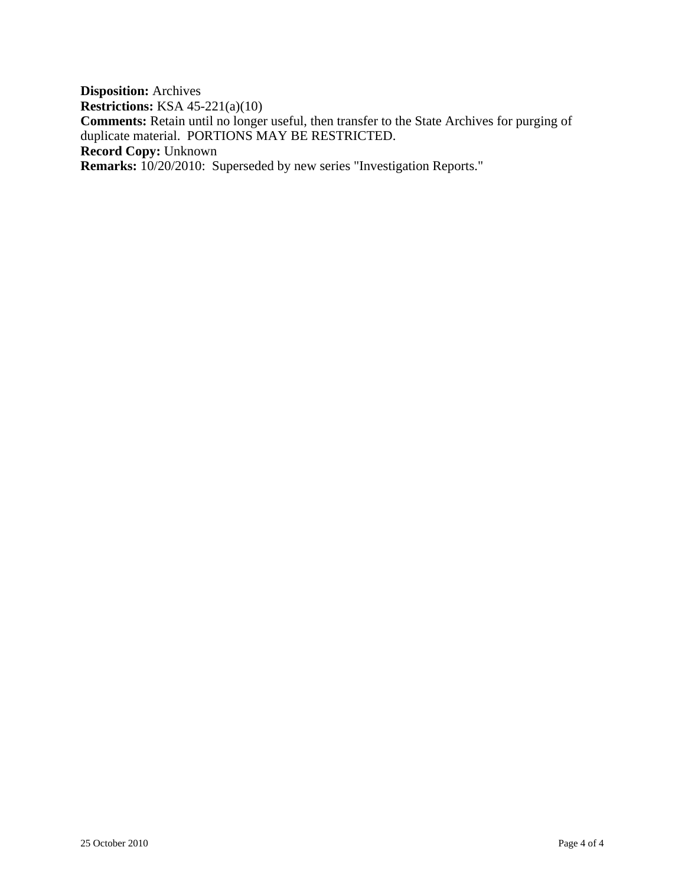**Disposition:** Archives **Restrictions:** KSA 45-221(a)(10) **Comments:** Retain until no longer useful, then transfer to the State Archives for purging of duplicate material. PORTIONS MAY BE RESTRICTED. **Record Copy:** Unknown **Remarks:** 10/20/2010: Superseded by new series "Investigation Reports."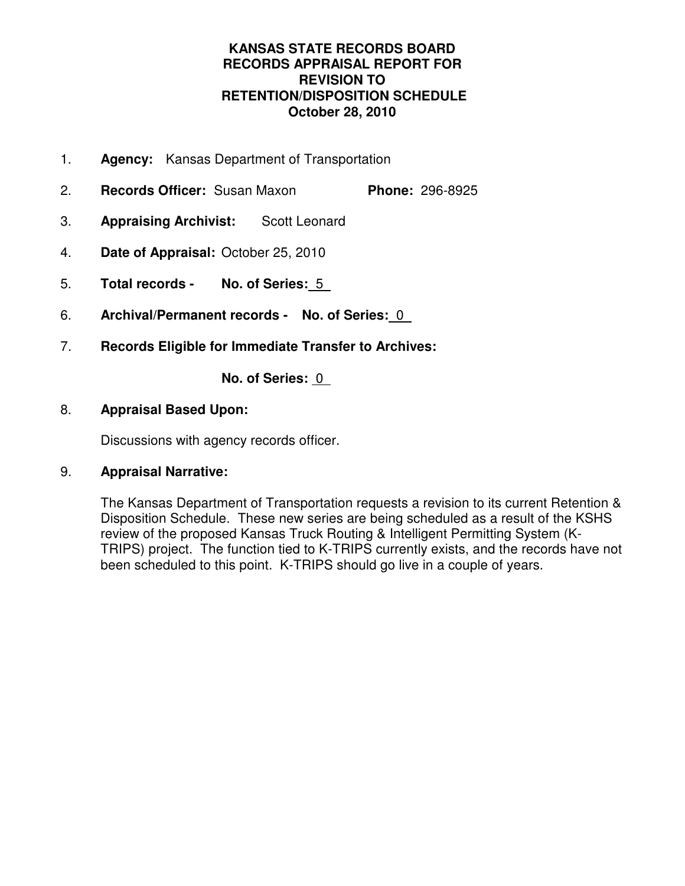## **KANSAS STATE RECORDS BOARD RECORDS APPRAISAL REPORT FOR REVISION TO RETENTION/DISPOSITION SCHEDULE October 28, 2010**

- 1. **Agency:** Kansas Department of Transportation
- 2. **Records Officer:** Susan Maxon **Phone:** 296-8925
- 3. **Appraising Archivist:** Scott Leonard
- 4. **Date of Appraisal:** October 25, 2010
- 5. **Total records No. of Series:** 5
- 6. **Archival/Permanent records No. of Series:** 0
- 7. **Records Eligible for Immediate Transfer to Archives:**

**No. of Series:** 0

## 8. **Appraisal Based Upon:**

Discussions with agency records officer.

## 9. **Appraisal Narrative:**

The Kansas Department of Transportation requests a revision to its current Retention & Disposition Schedule. These new series are being scheduled as a result of the KSHS review of the proposed Kansas Truck Routing & Intelligent Permitting System (K-TRIPS) project. The function tied to K-TRIPS currently exists, and the records have not been scheduled to this point. K-TRIPS should go live in a couple of years.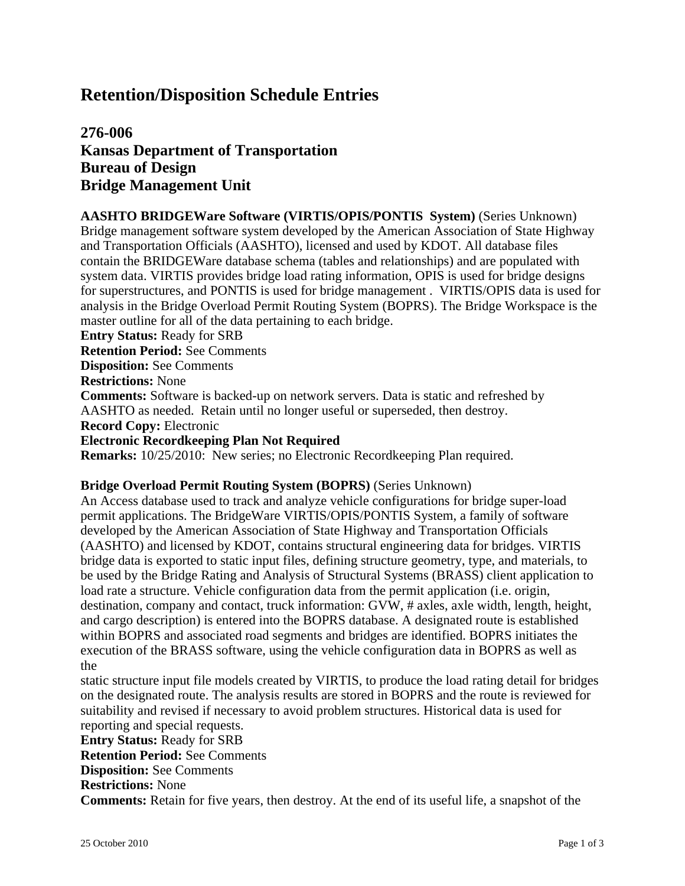# **276-006 Kansas Department of Transportation Bureau of Design Bridge Management Unit**

**AASHTO BRIDGEWare Software (VIRTIS/OPIS/PONTIS System)** (Series Unknown) Bridge management software system developed by the American Association of State Highway and Transportation Officials (AASHTO), licensed and used by KDOT. All database files contain the BRIDGEWare database schema (tables and relationships) and are populated with system data. VIRTIS provides bridge load rating information, OPIS is used for bridge designs for superstructures, and PONTIS is used for bridge management . VIRTIS/OPIS data is used for analysis in the Bridge Overload Permit Routing System (BOPRS). The Bridge Workspace is the master outline for all of the data pertaining to each bridge. **Entry Status:** Ready for SRB **Retention Period:** See Comments **Disposition:** See Comments **Restrictions:** None **Comments:** Software is backed-up on network servers. Data is static and refreshed by AASHTO as needed. Retain until no longer useful or superseded, then destroy. **Record Copy:** Electronic **Electronic Recordkeeping Plan Not Required Remarks:** 10/25/2010: New series; no Electronic Recordkeeping Plan required.

#### **Bridge Overload Permit Routing System (BOPRS)** (Series Unknown)

An Access database used to track and analyze vehicle configurations for bridge super-load permit applications. The BridgeWare VIRTIS/OPIS/PONTIS System, a family of software developed by the American Association of State Highway and Transportation Officials (AASHTO) and licensed by KDOT, contains structural engineering data for bridges. VIRTIS bridge data is exported to static input files, defining structure geometry, type, and materials, to be used by the Bridge Rating and Analysis of Structural Systems (BRASS) client application to load rate a structure. Vehicle configuration data from the permit application (i.e. origin, destination, company and contact, truck information: GVW, # axles, axle width, length, height, and cargo description) is entered into the BOPRS database. A designated route is established within BOPRS and associated road segments and bridges are identified. BOPRS initiates the execution of the BRASS software, using the vehicle configuration data in BOPRS as well as the

static structure input file models created by VIRTIS, to produce the load rating detail for bridges on the designated route. The analysis results are stored in BOPRS and the route is reviewed for suitability and revised if necessary to avoid problem structures. Historical data is used for reporting and special requests.

**Entry Status:** Ready for SRB

**Retention Period:** See Comments

**Disposition:** See Comments

#### **Restrictions:** None

**Comments:** Retain for five years, then destroy. At the end of its useful life, a snapshot of the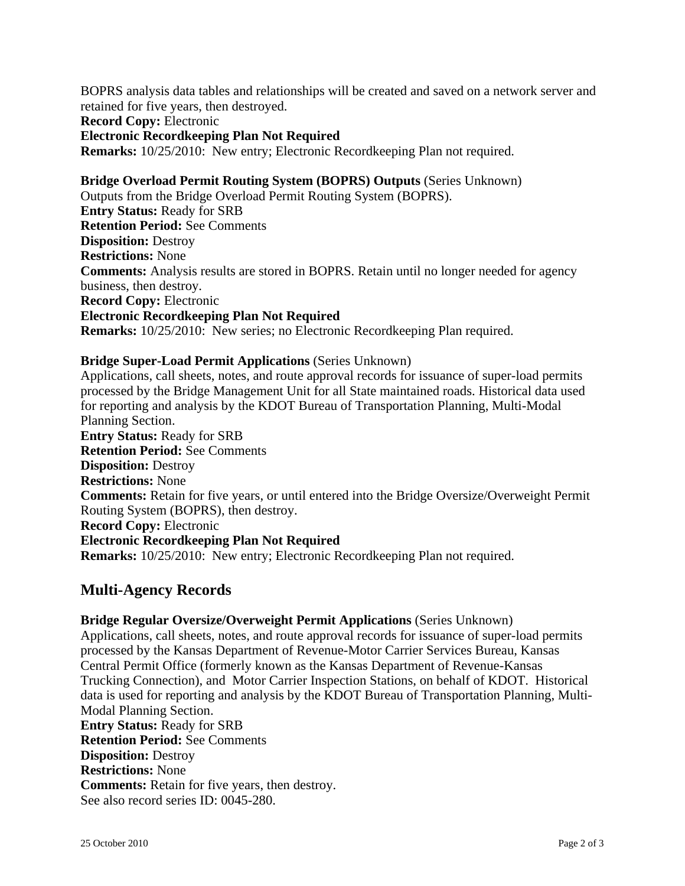BOPRS analysis data tables and relationships will be created and saved on a network server and retained for five years, then destroyed. **Record Copy:** Electronic **Electronic Recordkeeping Plan Not Required Remarks:** 10/25/2010: New entry; Electronic Recordkeeping Plan not required.

**Bridge Overload Permit Routing System (BOPRS) Outputs** (Series Unknown)

Outputs from the Bridge Overload Permit Routing System (BOPRS). **Entry Status:** Ready for SRB **Retention Period:** See Comments **Disposition:** Destroy **Restrictions:** None **Comments:** Analysis results are stored in BOPRS. Retain until no longer needed for agency business, then destroy. **Record Copy:** Electronic **Electronic Recordkeeping Plan Not Required Remarks:** 10/25/2010: New series; no Electronic Recordkeeping Plan required.

### **Bridge Super-Load Permit Applications** (Series Unknown)

Applications, call sheets, notes, and route approval records for issuance of super-load permits processed by the Bridge Management Unit for all State maintained roads. Historical data used for reporting and analysis by the KDOT Bureau of Transportation Planning, Multi-Modal Planning Section. **Entry Status:** Ready for SRB **Retention Period:** See Comments **Disposition:** Destroy **Restrictions:** None **Comments:** Retain for five years, or until entered into the Bridge Oversize/Overweight Permit Routing System (BOPRS), then destroy. **Record Copy:** Electronic **Electronic Recordkeeping Plan Not Required Remarks:** 10/25/2010: New entry; Electronic Recordkeeping Plan not required.

# **Multi-Agency Records**

**Bridge Regular Oversize/Overweight Permit Applications** (Series Unknown) Applications, call sheets, notes, and route approval records for issuance of super-load permits processed by the Kansas Department of Revenue-Motor Carrier Services Bureau, Kansas Central Permit Office (formerly known as the Kansas Department of Revenue-Kansas Trucking Connection), and Motor Carrier Inspection Stations, on behalf of KDOT. Historical data is used for reporting and analysis by the KDOT Bureau of Transportation Planning, Multi-Modal Planning Section. **Entry Status:** Ready for SRB **Retention Period:** See Comments **Disposition:** Destroy **Restrictions:** None **Comments:** Retain for five years, then destroy.

See also record series ID: 0045-280.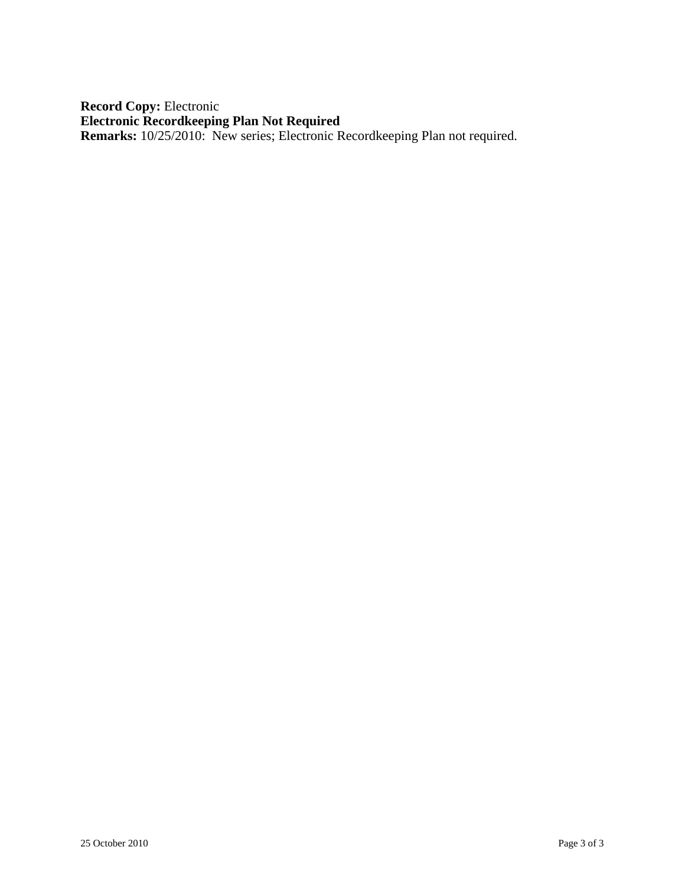**Record Copy:** Electronic **Electronic Recordkeeping Plan Not Required Remarks:** 10/25/2010: New series; Electronic Recordkeeping Plan not required.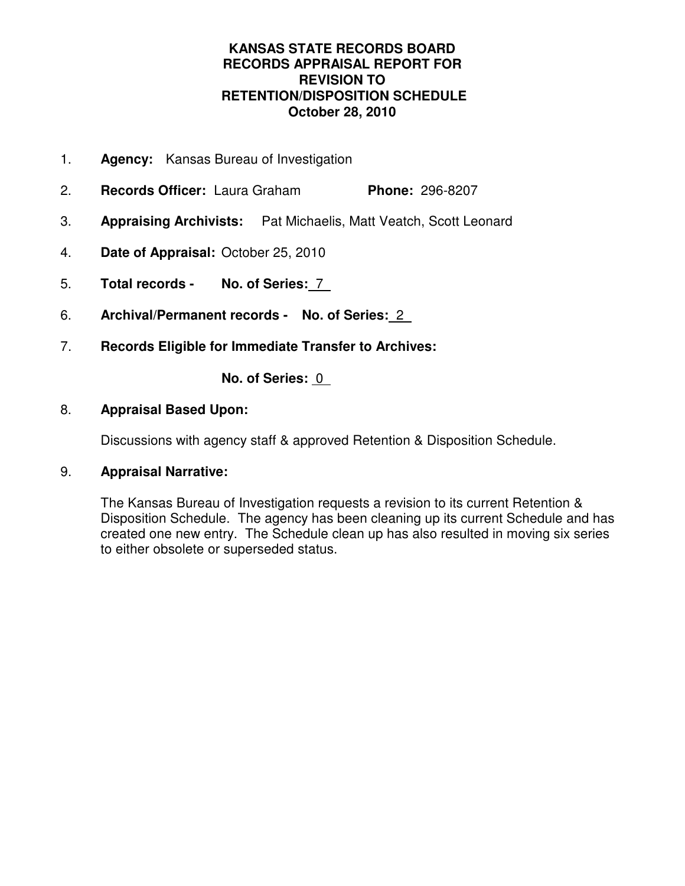## **KANSAS STATE RECORDS BOARD RECORDS APPRAISAL REPORT FOR REVISION TO RETENTION/DISPOSITION SCHEDULE October 28, 2010**

- 1. **Agency:** Kansas Bureau of Investigation
- 2. **Records Officer:** Laura Graham **Phone:** 296-8207
- 3. **Appraising Archivists:** Pat Michaelis, Matt Veatch, Scott Leonard
- 4. **Date of Appraisal:** October 25, 2010
- 5. **Total records No. of Series:** 7
- 6. **Archival/Permanent records No. of Series:** 2
- 7. **Records Eligible for Immediate Transfer to Archives:**

**No. of Series:** 0

## 8. **Appraisal Based Upon:**

Discussions with agency staff & approved Retention & Disposition Schedule.

## 9. **Appraisal Narrative:**

The Kansas Bureau of Investigation requests a revision to its current Retention & Disposition Schedule. The agency has been cleaning up its current Schedule and has created one new entry. The Schedule clean up has also resulted in moving six series to either obsolete or superseded status.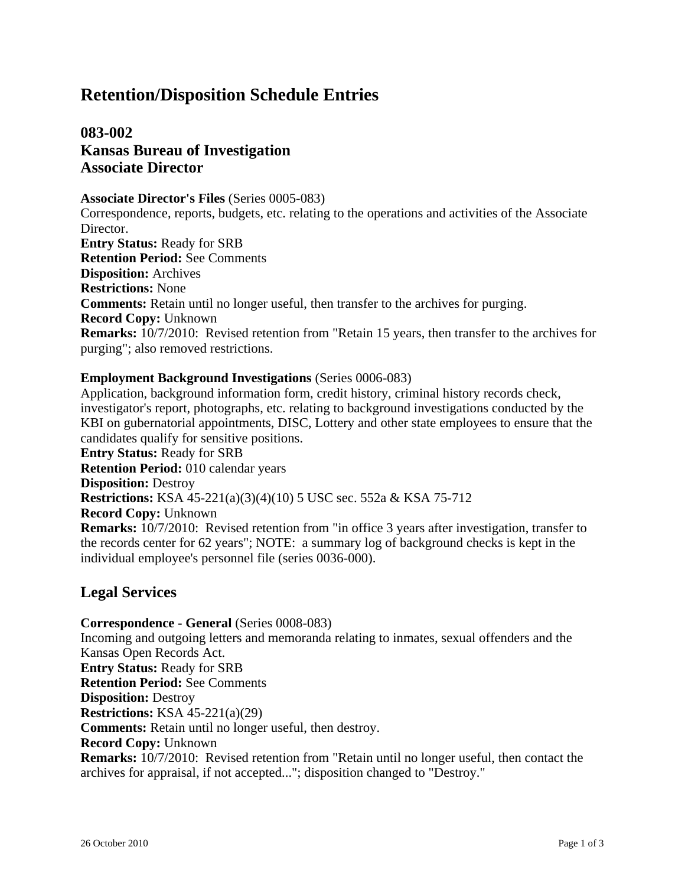# **083-002 Kansas Bureau of Investigation Associate Director**

#### **Associate Director's Files** (Series 0005-083)

Correspondence, reports, budgets, etc. relating to the operations and activities of the Associate Director. **Entry Status:** Ready for SRB **Retention Period:** See Comments **Disposition:** Archives **Restrictions:** None **Comments:** Retain until no longer useful, then transfer to the archives for purging. **Record Copy:** Unknown **Remarks:** 10/7/2010: Revised retention from "Retain 15 years, then transfer to the archives for purging"; also removed restrictions.

## **Employment Background Investigations** (Series 0006-083)

Application, background information form, credit history, criminal history records check, investigator's report, photographs, etc. relating to background investigations conducted by the KBI on gubernatorial appointments, DISC, Lottery and other state employees to ensure that the candidates qualify for sensitive positions. **Entry Status:** Ready for SRB **Retention Period:** 010 calendar years **Disposition:** Destroy **Restrictions:** KSA 45-221(a)(3)(4)(10) 5 USC sec. 552a & KSA 75-712 **Record Copy:** Unknown **Remarks:** 10/7/2010: Revised retention from "in office 3 years after investigation, transfer to the records center for 62 years"; NOTE: a summary log of background checks is kept in the individual employee's personnel file (series 0036-000).

# **Legal Services**

**Correspondence - General** (Series 0008-083) Incoming and outgoing letters and memoranda relating to inmates, sexual offenders and the Kansas Open Records Act. **Entry Status:** Ready for SRB **Retention Period:** See Comments **Disposition:** Destroy **Restrictions:** KSA 45-221(a)(29) **Comments:** Retain until no longer useful, then destroy. **Record Copy:** Unknown **Remarks:** 10/7/2010: Revised retention from "Retain until no longer useful, then contact the archives for appraisal, if not accepted..."; disposition changed to "Destroy."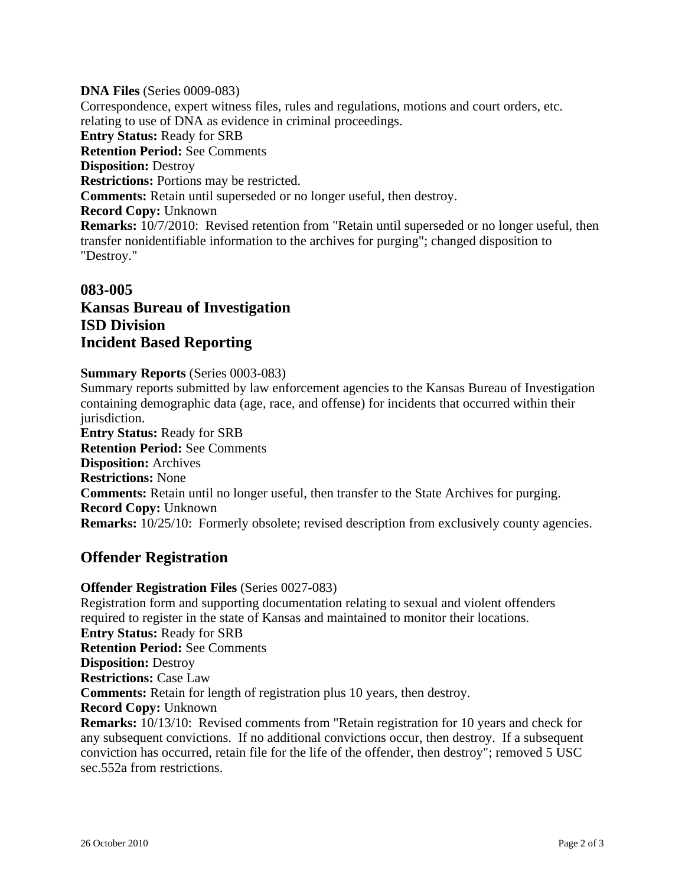## **DNA Files** (Series 0009-083) Correspondence, expert witness files, rules and regulations, motions and court orders, etc. relating to use of DNA as evidence in criminal proceedings. **Entry Status:** Ready for SRB **Retention Period:** See Comments **Disposition:** Destroy **Restrictions:** Portions may be restricted. **Comments:** Retain until superseded or no longer useful, then destroy. **Record Copy:** Unknown **Remarks:** 10/7/2010: Revised retention from "Retain until superseded or no longer useful, then transfer nonidentifiable information to the archives for purging"; changed disposition to "Destroy."

# **083-005 Kansas Bureau of Investigation ISD Division Incident Based Reporting**

#### **Summary Reports** (Series 0003-083)

Summary reports submitted by law enforcement agencies to the Kansas Bureau of Investigation containing demographic data (age, race, and offense) for incidents that occurred within their jurisdiction. **Entry Status:** Ready for SRB

**Retention Period:** See Comments **Disposition:** Archives **Restrictions:** None

**Comments:** Retain until no longer useful, then transfer to the State Archives for purging.

#### **Record Copy:** Unknown

**Remarks:**  $10/25/10$ : Formerly obsolete; revised description from exclusively county agencies.

# **Offender Registration**

## **Offender Registration Files** (Series 0027-083)

Registration form and supporting documentation relating to sexual and violent offenders required to register in the state of Kansas and maintained to monitor their locations. **Entry Status:** Ready for SRB **Retention Period:** See Comments **Disposition:** Destroy **Restrictions:** Case Law **Comments:** Retain for length of registration plus 10 years, then destroy. **Record Copy:** Unknown **Remarks:** 10/13/10: Revised comments from "Retain registration for 10 years and check for any subsequent convictions. If no additional convictions occur, then destroy. If a subsequent conviction has occurred, retain file for the life of the offender, then destroy"; removed 5 USC sec.552a from restrictions.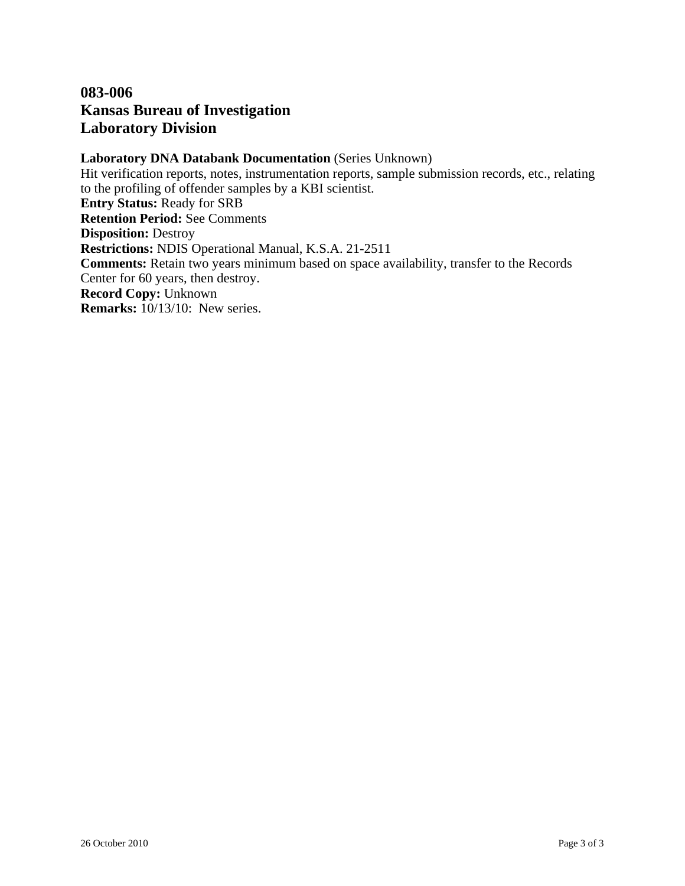# **083-006 Kansas Bureau of Investigation Laboratory Division**

**Laboratory DNA Databank Documentation** (Series Unknown) Hit verification reports, notes, instrumentation reports, sample submission records, etc., relating to the profiling of offender samples by a KBI scientist. **Entry Status:** Ready for SRB **Retention Period:** See Comments **Disposition:** Destroy **Restrictions:** NDIS Operational Manual, K.S.A. 21-2511 **Comments:** Retain two years minimum based on space availability, transfer to the Records Center for 60 years, then destroy. **Record Copy:** Unknown **Remarks:** 10/13/10: New series.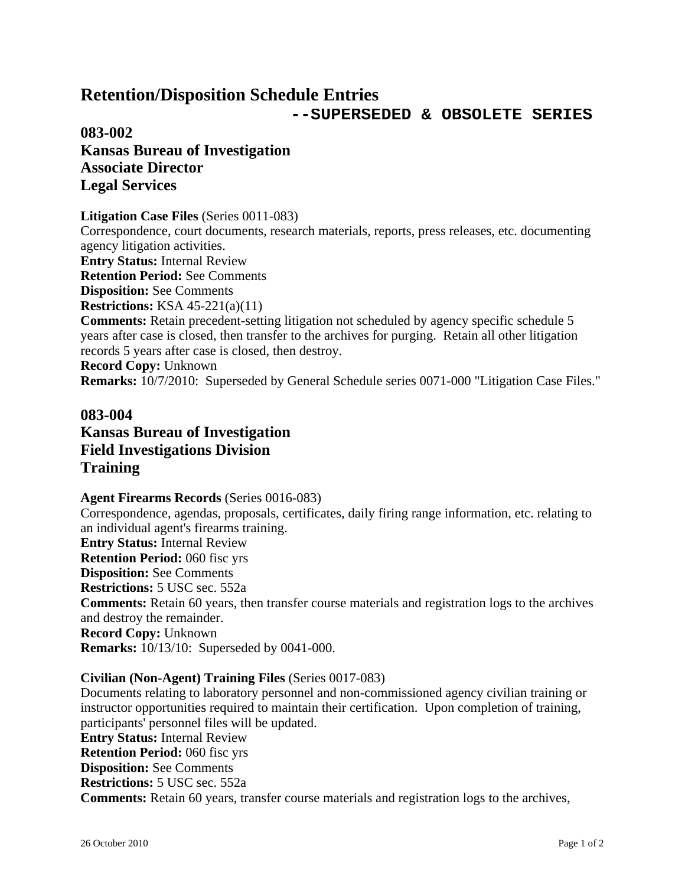**--SUPERSEDED & OBSOLETE SERIES**

**083-002 Kansas Bureau of Investigation Associate Director Legal Services**

**Litigation Case Files** (Series 0011-083)

Correspondence, court documents, research materials, reports, press releases, etc. documenting agency litigation activities.

**Entry Status:** Internal Review

**Retention Period:** See Comments

**Disposition:** See Comments

**Restrictions:** KSA 45-221(a)(11)

**Comments:** Retain precedent-setting litigation not scheduled by agency specific schedule 5 years after case is closed, then transfer to the archives for purging. Retain all other litigation records 5 years after case is closed, then destroy.

**Record Copy:** Unknown

**Remarks:** 10/7/2010: Superseded by General Schedule series 0071-000 "Litigation Case Files."

# **083-004 Kansas Bureau of Investigation Field Investigations Division Training**

**Agent Firearms Records** (Series 0016-083) Correspondence, agendas, proposals, certificates, daily firing range information, etc. relating to an individual agent's firearms training. **Entry Status:** Internal Review **Retention Period:** 060 fisc yrs **Disposition:** See Comments **Restrictions:** 5 USC sec. 552a **Comments:** Retain 60 years, then transfer course materials and registration logs to the archives and destroy the remainder. **Record Copy:** Unknown **Remarks:** 10/13/10: Superseded by 0041-000.

#### **Civilian (Non-Agent) Training Files** (Series 0017-083)

Documents relating to laboratory personnel and non-commissioned agency civilian training or instructor opportunities required to maintain their certification. Upon completion of training, participants' personnel files will be updated. **Entry Status:** Internal Review **Retention Period:** 060 fisc yrs **Disposition:** See Comments **Restrictions:** 5 USC sec. 552a **Comments:** Retain 60 years, transfer course materials and registration logs to the archives,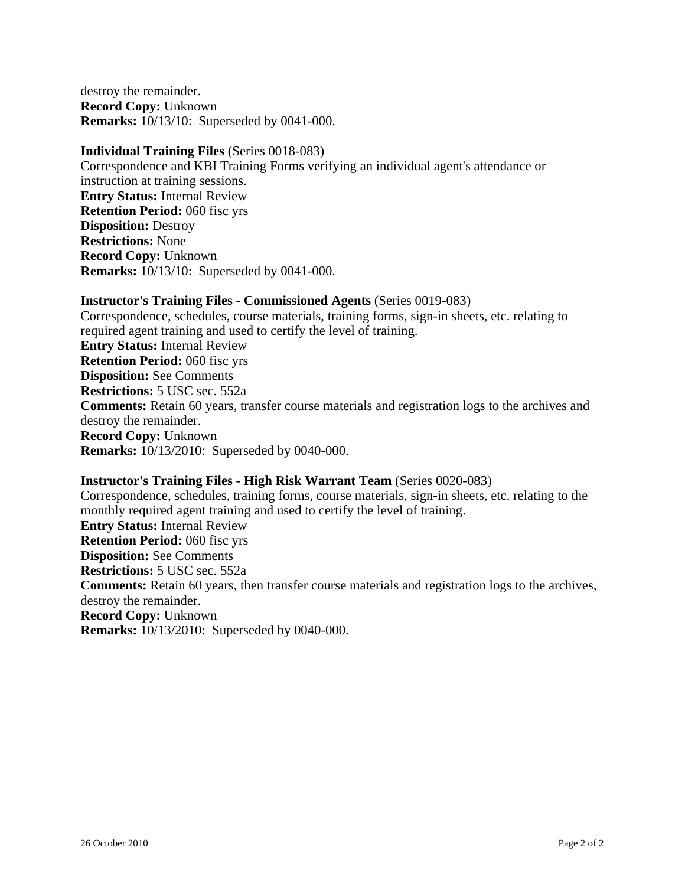destroy the remainder. **Record Copy:** Unknown **Remarks:** 10/13/10: Superseded by 0041-000.

### **Individual Training Files** (Series 0018-083)

Correspondence and KBI Training Forms verifying an individual agent's attendance or instruction at training sessions. **Entry Status:** Internal Review **Retention Period:** 060 fisc yrs **Disposition:** Destroy **Restrictions:** None **Record Copy:** Unknown **Remarks:** 10/13/10: Superseded by 0041-000.

#### **Instructor's Training Files - Commissioned Agents** (Series 0019-083)

Correspondence, schedules, course materials, training forms, sign-in sheets, etc. relating to required agent training and used to certify the level of training. **Entry Status:** Internal Review **Retention Period:** 060 fisc yrs **Disposition:** See Comments **Restrictions:** 5 USC sec. 552a **Comments:** Retain 60 years, transfer course materials and registration logs to the archives and destroy the remainder. **Record Copy:** Unknown **Remarks:** 10/13/2010: Superseded by 0040-000.

#### **Instructor's Training Files - High Risk Warrant Team** (Series 0020-083)

Correspondence, schedules, training forms, course materials, sign-in sheets, etc. relating to the monthly required agent training and used to certify the level of training. **Entry Status:** Internal Review **Retention Period:** 060 fisc yrs **Disposition:** See Comments **Restrictions:** 5 USC sec. 552a **Comments:** Retain 60 years, then transfer course materials and registration logs to the archives, destroy the remainder. **Record Copy:** Unknown **Remarks:** 10/13/2010: Superseded by 0040-000.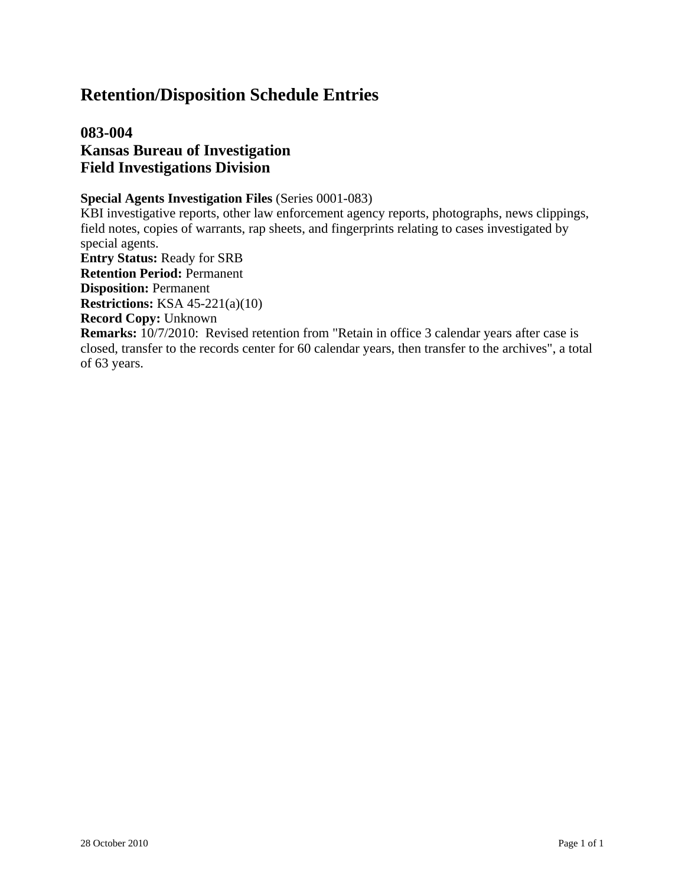# **083-004 Kansas Bureau of Investigation Field Investigations Division**

#### **Special Agents Investigation Files** (Series 0001-083)

KBI investigative reports, other law enforcement agency reports, photographs, news clippings, field notes, copies of warrants, rap sheets, and fingerprints relating to cases investigated by special agents.

**Entry Status:** Ready for SRB **Retention Period:** Permanent

**Disposition:** Permanent

**Restrictions:** KSA 45-221(a)(10)

**Record Copy:** Unknown

**Remarks:** 10/7/2010: Revised retention from "Retain in office 3 calendar years after case is closed, transfer to the records center for 60 calendar years, then transfer to the archives", a total of 63 years.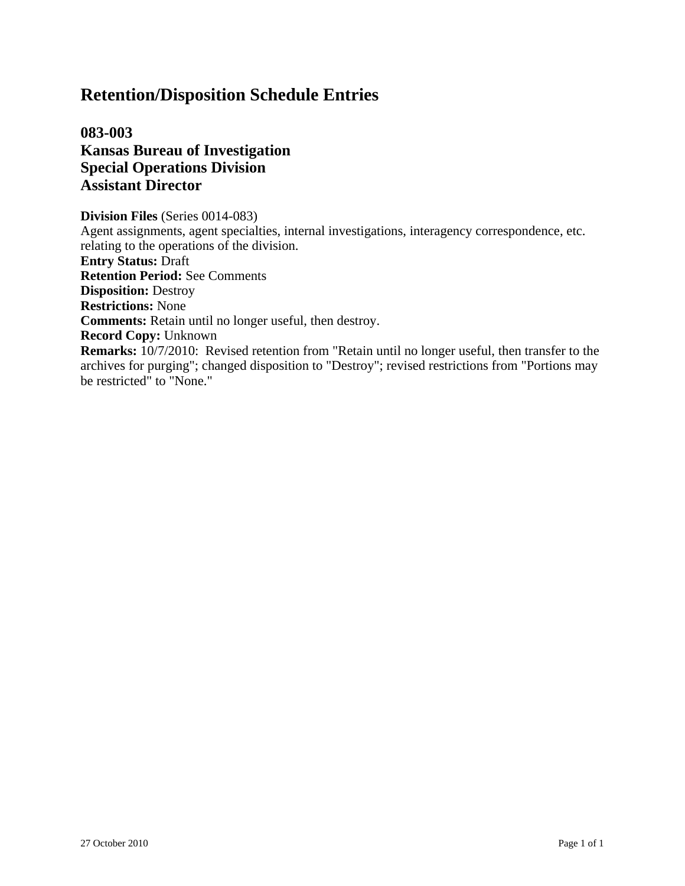**083-003 Kansas Bureau of Investigation Special Operations Division Assistant Director**

**Division Files** (Series 0014-083)

Agent assignments, agent specialties, internal investigations, interagency correspondence, etc. relating to the operations of the division. **Entry Status:** Draft **Retention Period:** See Comments **Disposition:** Destroy **Restrictions:** None **Comments:** Retain until no longer useful, then destroy. **Record Copy:** Unknown **Remarks:** 10/7/2010: Revised retention from "Retain until no longer useful, then transfer to the archives for purging"; changed disposition to "Destroy"; revised restrictions from "Portions may be restricted" to "None."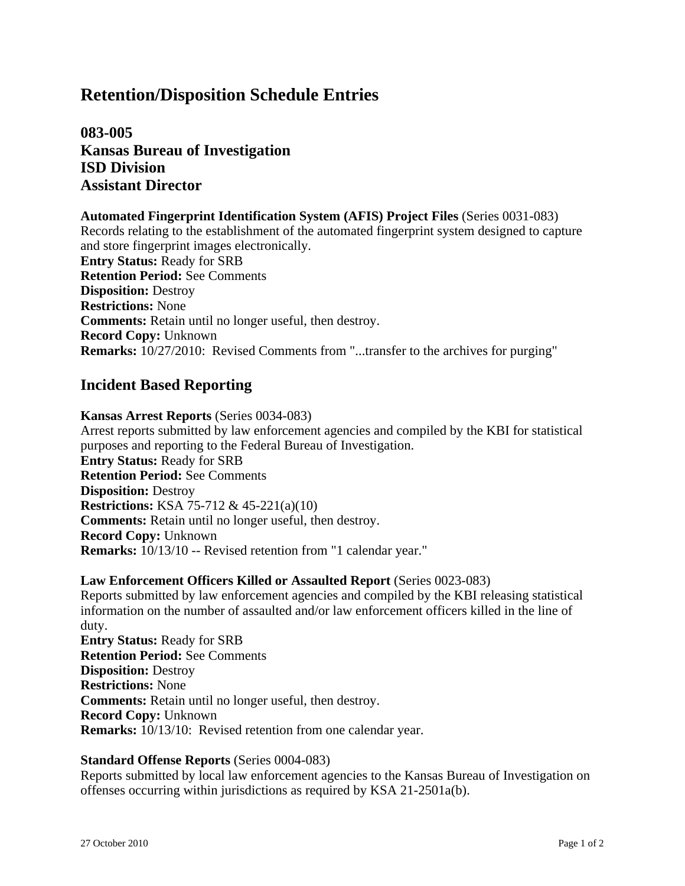**083-005 Kansas Bureau of Investigation ISD Division Assistant Director**

#### **Automated Fingerprint Identification System (AFIS) Project Files** (Series 0031-083)

Records relating to the establishment of the automated fingerprint system designed to capture and store fingerprint images electronically. **Entry Status:** Ready for SRB **Retention Period:** See Comments **Disposition:** Destroy **Restrictions:** None **Comments:** Retain until no longer useful, then destroy. **Record Copy:** Unknown **Remarks:** 10/27/2010: Revised Comments from "...transfer to the archives for purging"

## **Incident Based Reporting**

#### **Kansas Arrest Reports** (Series 0034-083)

Arrest reports submitted by law enforcement agencies and compiled by the KBI for statistical purposes and reporting to the Federal Bureau of Investigation. **Entry Status:** Ready for SRB **Retention Period:** See Comments **Disposition:** Destroy **Restrictions:** KSA 75-712 & 45-221(a)(10) **Comments:** Retain until no longer useful, then destroy. **Record Copy:** Unknown **Remarks:** 10/13/10 -- Revised retention from "1 calendar year."

#### **Law Enforcement Officers Killed or Assaulted Report** (Series 0023-083)

Reports submitted by law enforcement agencies and compiled by the KBI releasing statistical information on the number of assaulted and/or law enforcement officers killed in the line of duty.

**Entry Status:** Ready for SRB **Retention Period:** See Comments **Disposition:** Destroy **Restrictions:** None **Comments:** Retain until no longer useful, then destroy. **Record Copy:** Unknown **Remarks:** 10/13/10: Revised retention from one calendar year.

#### **Standard Offense Reports** (Series 0004-083)

Reports submitted by local law enforcement agencies to the Kansas Bureau of Investigation on offenses occurring within jurisdictions as required by KSA 21-2501a(b).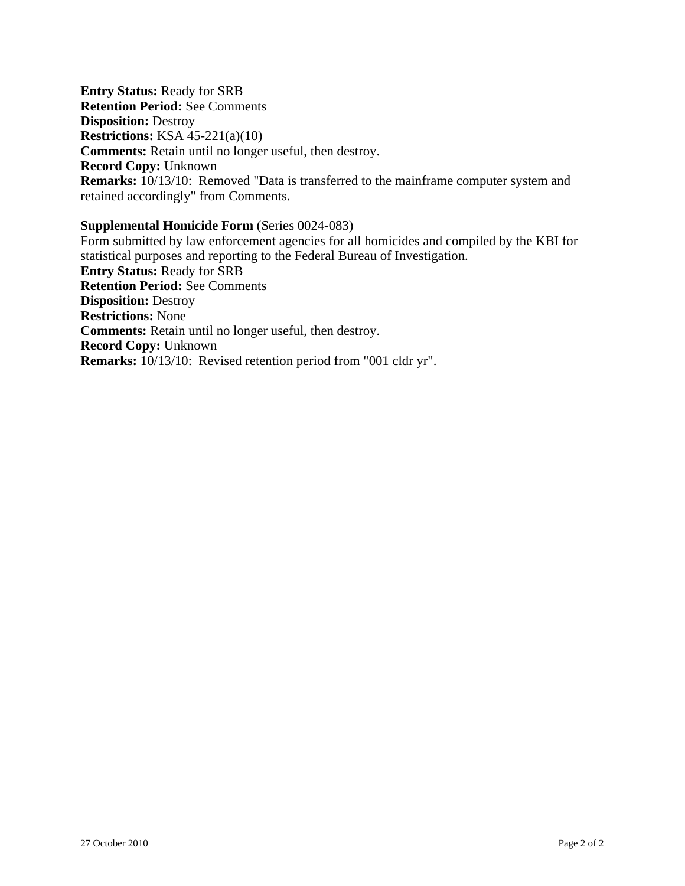**Entry Status:** Ready for SRB **Retention Period:** See Comments **Disposition:** Destroy **Restrictions:** KSA 45-221(a)(10) **Comments:** Retain until no longer useful, then destroy. **Record Copy:** Unknown **Remarks:** 10/13/10: Removed "Data is transferred to the mainframe computer system and retained accordingly" from Comments.

#### **Supplemental Homicide Form** (Series 0024-083)

Form submitted by law enforcement agencies for all homicides and compiled by the KBI for statistical purposes and reporting to the Federal Bureau of Investigation. **Entry Status:** Ready for SRB **Retention Period:** See Comments **Disposition:** Destroy **Restrictions:** None **Comments:** Retain until no longer useful, then destroy. **Record Copy:** Unknown **Remarks:** 10/13/10: Revised retention period from "001 cldr yr".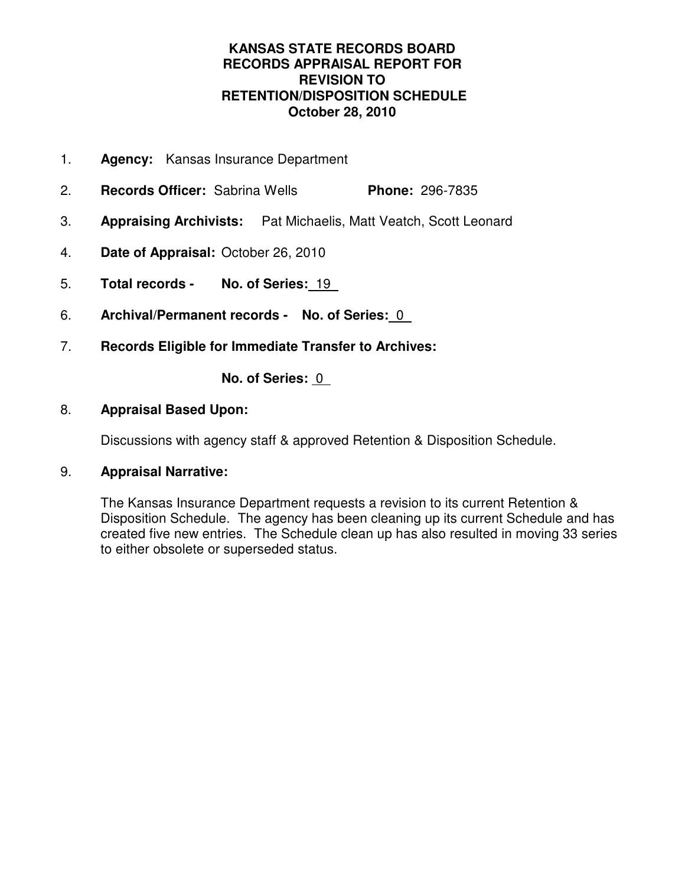## **KANSAS STATE RECORDS BOARD RECORDS APPRAISAL REPORT FOR REVISION TO RETENTION/DISPOSITION SCHEDULE October 28, 2010**

- 1. **Agency:** Kansas Insurance Department
- 2. **Records Officer:** Sabrina Wells **Phone:** 296-7835
- 3. **Appraising Archivists:** Pat Michaelis, Matt Veatch, Scott Leonard
- 4. **Date of Appraisal:** October 26, 2010
- 5. **Total records No. of Series:** 19
- 6. **Archival/Permanent records No. of Series:** 0
- 7. **Records Eligible for Immediate Transfer to Archives:**

**No. of Series:** 0

## 8. **Appraisal Based Upon:**

Discussions with agency staff & approved Retention & Disposition Schedule.

## 9. **Appraisal Narrative:**

The Kansas Insurance Department requests a revision to its current Retention & Disposition Schedule. The agency has been cleaning up its current Schedule and has created five new entries. The Schedule clean up has also resulted in moving 33 series to either obsolete or superseded status.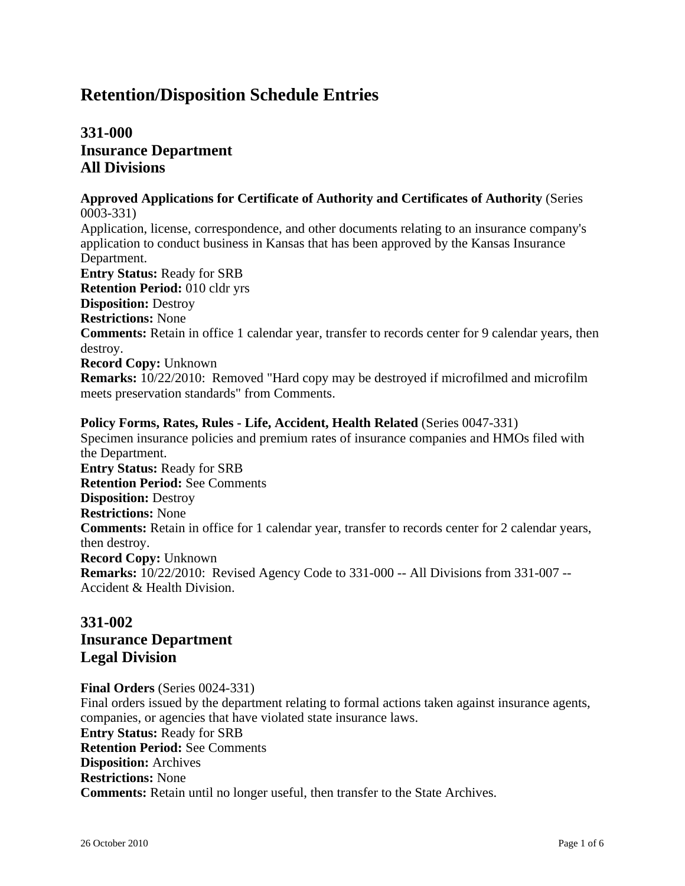# **331-000 Insurance Department All Divisions**

### **Approved Applications for Certificate of Authority and Certificates of Authority** (Series 0003-331)

Application, license, correspondence, and other documents relating to an insurance company's application to conduct business in Kansas that has been approved by the Kansas Insurance Department. **Entry Status:** Ready for SRB **Retention Period:** 010 cldr yrs **Disposition:** Destroy **Restrictions:** None **Comments:** Retain in office 1 calendar year, transfer to records center for 9 calendar years, then destroy. **Record Copy:** Unknown **Remarks:** 10/22/2010: Removed "Hard copy may be destroyed if microfilmed and microfilm meets preservation standards" from Comments.

#### **Policy Forms, Rates, Rules - Life, Accident, Health Related** (Series 0047-331)

Specimen insurance policies and premium rates of insurance companies and HMOs filed with the Department. **Entry Status:** Ready for SRB **Retention Period:** See Comments **Disposition:** Destroy **Restrictions:** None **Comments:** Retain in office for 1 calendar year, transfer to records center for 2 calendar years, then destroy. **Record Copy:** Unknown **Remarks:** 10/22/2010: Revised Agency Code to 331-000 -- All Divisions from 331-007 -- Accident & Health Division.

# **331-002 Insurance Department Legal Division**

**Final Orders** (Series 0024-331) Final orders issued by the department relating to formal actions taken against insurance agents, companies, or agencies that have violated state insurance laws. **Entry Status:** Ready for SRB **Retention Period:** See Comments **Disposition:** Archives **Restrictions:** None **Comments:** Retain until no longer useful, then transfer to the State Archives.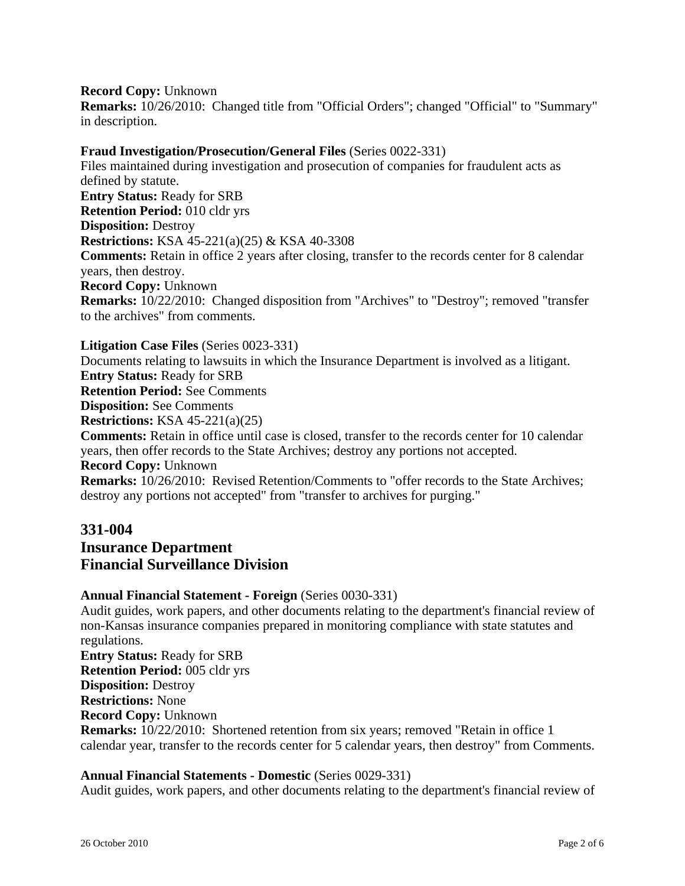#### **Record Copy:** Unknown

**Remarks:** 10/26/2010: Changed title from "Official Orders"; changed "Official" to "Summary" in description.

### **Fraud Investigation/Prosecution/General Files** (Series 0022-331)

Files maintained during investigation and prosecution of companies for fraudulent acts as defined by statute. **Entry Status:** Ready for SRB **Retention Period:** 010 cldr yrs **Disposition:** Destroy **Restrictions:** KSA 45-221(a)(25) & KSA 40-3308 **Comments:** Retain in office 2 years after closing, transfer to the records center for 8 calendar years, then destroy. **Record Copy:** Unknown **Remarks:** 10/22/2010: Changed disposition from "Archives" to "Destroy"; removed "transfer to the archives" from comments.

**Litigation Case Files** (Series 0023-331) Documents relating to lawsuits in which the Insurance Department is involved as a litigant. **Entry Status:** Ready for SRB **Retention Period:** See Comments **Disposition:** See Comments **Restrictions:** KSA 45-221(a)(25) **Comments:** Retain in office until case is closed, transfer to the records center for 10 calendar years, then offer records to the State Archives; destroy any portions not accepted. **Record Copy:** Unknown **Remarks:** 10/26/2010: Revised Retention/Comments to "offer records to the State Archives; destroy any portions not accepted" from "transfer to archives for purging."

## **331-004 Insurance Department Financial Surveillance Division**

### **Annual Financial Statement - Foreign** (Series 0030-331)

Audit guides, work papers, and other documents relating to the department's financial review of non-Kansas insurance companies prepared in monitoring compliance with state statutes and regulations.

**Entry Status:** Ready for SRB **Retention Period:** 005 cldr yrs **Disposition:** Destroy **Restrictions:** None **Record Copy:** Unknown **Remarks:** 10/22/2010: Shortened retention from six years; removed "Retain in office 1 calendar year, transfer to the records center for 5 calendar years, then destroy" from Comments.

### **Annual Financial Statements - Domestic** (Series 0029-331)

Audit guides, work papers, and other documents relating to the department's financial review of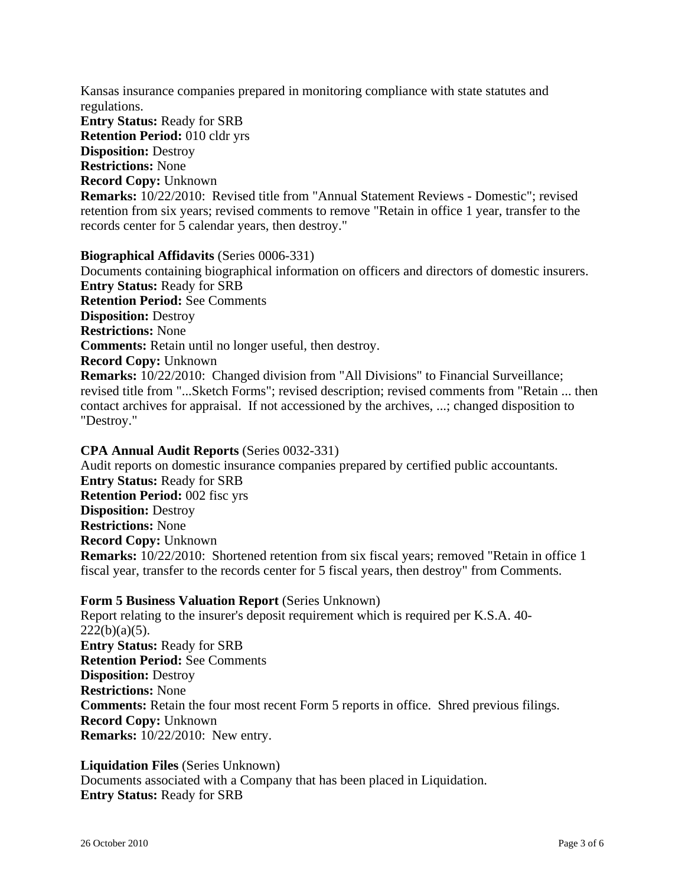Kansas insurance companies prepared in monitoring compliance with state statutes and regulations.

**Entry Status:** Ready for SRB **Retention Period:** 010 cldr yrs

**Disposition:** Destroy

**Restrictions:** None

**Record Copy:** Unknown

**Remarks:** 10/22/2010: Revised title from "Annual Statement Reviews - Domestic"; revised retention from six years; revised comments to remove "Retain in office 1 year, transfer to the records center for 5 calendar years, then destroy."

#### **Biographical Affidavits** (Series 0006-331)

Documents containing biographical information on officers and directors of domestic insurers. **Entry Status:** Ready for SRB **Retention Period:** See Comments **Disposition:** Destroy **Restrictions:** None **Comments:** Retain until no longer useful, then destroy. **Record Copy:** Unknown **Remarks:** 10/22/2010: Changed division from "All Divisions" to Financial Surveillance; revised title from "...Sketch Forms"; revised description; revised comments from "Retain ... then contact archives for appraisal. If not accessioned by the archives, ...; changed disposition to "Destroy."

#### **CPA Annual Audit Reports** (Series 0032-331)

Audit reports on domestic insurance companies prepared by certified public accountants. **Entry Status:** Ready for SRB **Retention Period:** 002 fisc yrs **Disposition:** Destroy **Restrictions:** None **Record Copy:** Unknown **Remarks:**  $10/22/2010$ : Shortened retention from six fiscal years; removed "Retain in office 1 fiscal year, transfer to the records center for 5 fiscal years, then destroy" from Comments.

### **Form 5 Business Valuation Report** (Series Unknown)

Report relating to the insurer's deposit requirement which is required per K.S.A. 40-  $222(b)(a)(5)$ . **Entry Status:** Ready for SRB **Retention Period:** See Comments **Disposition:** Destroy **Restrictions:** None **Comments:** Retain the four most recent Form 5 reports in office. Shred previous filings. **Record Copy:** Unknown **Remarks:** 10/22/2010: New entry.

#### **Liquidation Files** (Series Unknown)

Documents associated with a Company that has been placed in Liquidation. **Entry Status:** Ready for SRB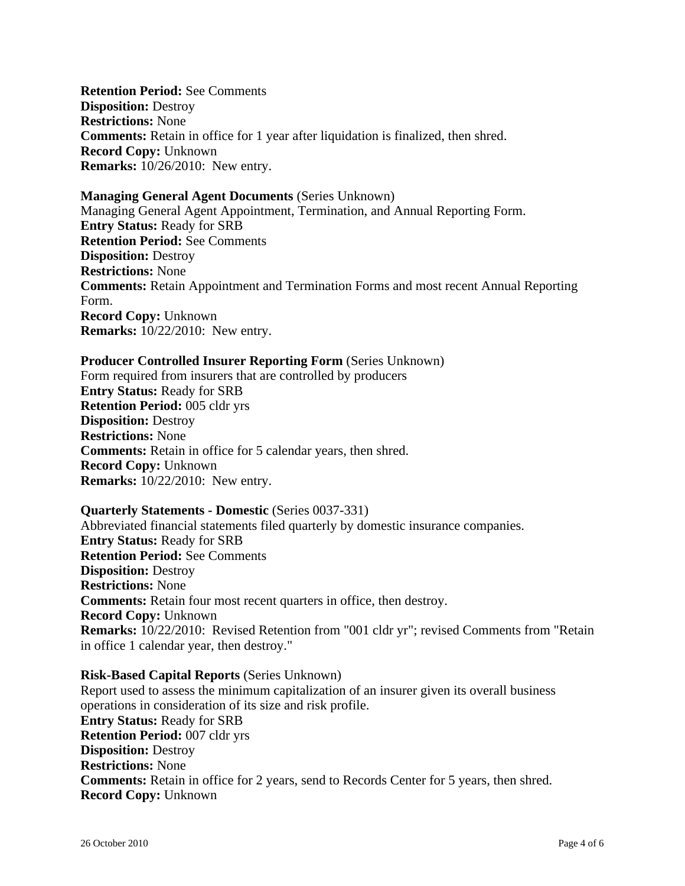**Retention Period:** See Comments **Disposition:** Destroy **Restrictions:** None **Comments:** Retain in office for 1 year after liquidation is finalized, then shred. **Record Copy:** Unknown **Remarks:** 10/26/2010: New entry.

#### **Managing General Agent Documents** (Series Unknown)

Managing General Agent Appointment, Termination, and Annual Reporting Form. **Entry Status:** Ready for SRB **Retention Period:** See Comments **Disposition:** Destroy **Restrictions:** None **Comments:** Retain Appointment and Termination Forms and most recent Annual Reporting Form. **Record Copy:** Unknown **Remarks:** 10/22/2010: New entry.

#### **Producer Controlled Insurer Reporting Form** (Series Unknown)

Form required from insurers that are controlled by producers **Entry Status:** Ready for SRB **Retention Period:** 005 cldr yrs **Disposition:** Destroy **Restrictions:** None **Comments:** Retain in office for 5 calendar years, then shred. **Record Copy:** Unknown **Remarks:** 10/22/2010: New entry.

#### **Quarterly Statements - Domestic** (Series 0037-331)

Abbreviated financial statements filed quarterly by domestic insurance companies. **Entry Status:** Ready for SRB **Retention Period:** See Comments **Disposition:** Destroy **Restrictions:** None **Comments:** Retain four most recent quarters in office, then destroy. **Record Copy:** Unknown **Remarks:** 10/22/2010: Revised Retention from "001 cldr yr"; revised Comments from "Retain in office 1 calendar year, then destroy."

### **Risk-Based Capital Reports** (Series Unknown)

Report used to assess the minimum capitalization of an insurer given its overall business operations in consideration of its size and risk profile. **Entry Status:** Ready for SRB **Retention Period:** 007 cldr yrs **Disposition:** Destroy **Restrictions:** None **Comments:** Retain in office for 2 years, send to Records Center for 5 years, then shred. **Record Copy:** Unknown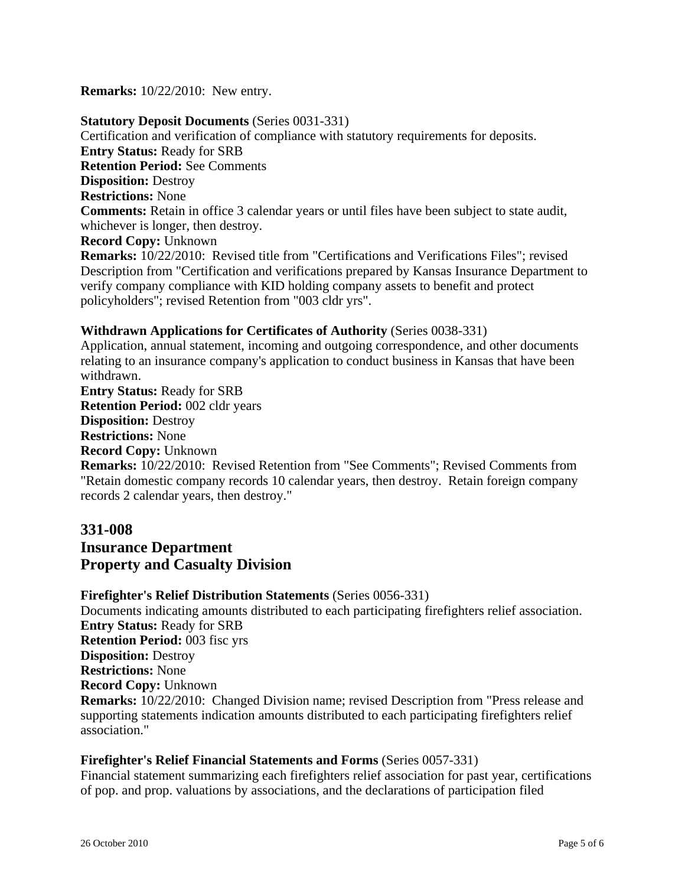**Remarks:** 10/22/2010: New entry.

#### **Statutory Deposit Documents** (Series 0031-331)

Certification and verification of compliance with statutory requirements for deposits. **Entry Status:** Ready for SRB **Retention Period:** See Comments **Disposition:** Destroy **Restrictions:** None **Comments:** Retain in office 3 calendar years or until files have been subject to state audit, whichever is longer, then destroy. **Record Copy:** Unknown **Remarks:** 10/22/2010: Revised title from "Certifications and Verifications Files"; revised

Description from "Certification and verifications prepared by Kansas Insurance Department to verify company compliance with KID holding company assets to benefit and protect policyholders"; revised Retention from "003 cldr yrs".

#### **Withdrawn Applications for Certificates of Authority** (Series 0038-331)

Application, annual statement, incoming and outgoing correspondence, and other documents relating to an insurance company's application to conduct business in Kansas that have been withdrawn.

**Entry Status:** Ready for SRB

**Retention Period:** 002 cldr years

**Disposition:** Destroy

**Restrictions:** None

**Record Copy:** Unknown

**Remarks:** 10/22/2010: Revised Retention from "See Comments"; Revised Comments from "Retain domestic company records 10 calendar years, then destroy. Retain foreign company records 2 calendar years, then destroy."

### **331-008 Insurance Department**

# **Property and Casualty Division**

#### **Firefighter's Relief Distribution Statements** (Series 0056-331)

Documents indicating amounts distributed to each participating firefighters relief association. **Entry Status:** Ready for SRB **Retention Period:** 003 fisc yrs **Disposition:** Destroy **Restrictions:** None **Record Copy:** Unknown **Remarks:** 10/22/2010: Changed Division name; revised Description from "Press release and supporting statements indication amounts distributed to each participating firefighters relief association."

#### **Firefighter's Relief Financial Statements and Forms** (Series 0057-331)

Financial statement summarizing each firefighters relief association for past year, certifications of pop. and prop. valuations by associations, and the declarations of participation filed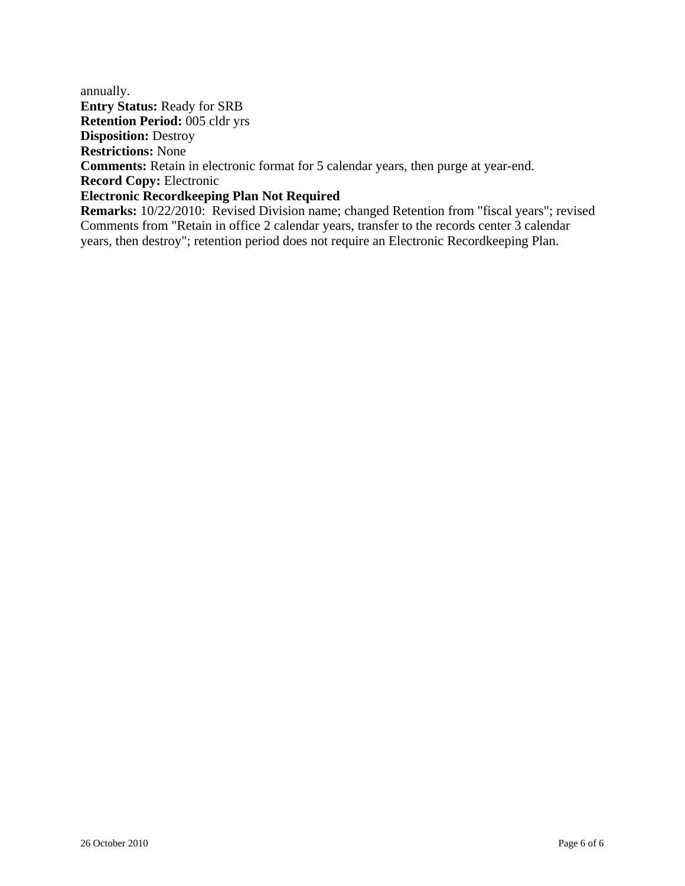annually. **Entry Status:** Ready for SRB **Retention Period:** 005 cldr yrs **Disposition:** Destroy **Restrictions:** None **Comments:** Retain in electronic format for 5 calendar years, then purge at year-end. **Record Copy:** Electronic **Electronic Recordkeeping Plan Not Required**

**Remarks:** 10/22/2010: Revised Division name; changed Retention from "fiscal years"; revised Comments from "Retain in office 2 calendar years, transfer to the records center 3 calendar years, then destroy"; retention period does not require an Electronic Recordkeeping Plan.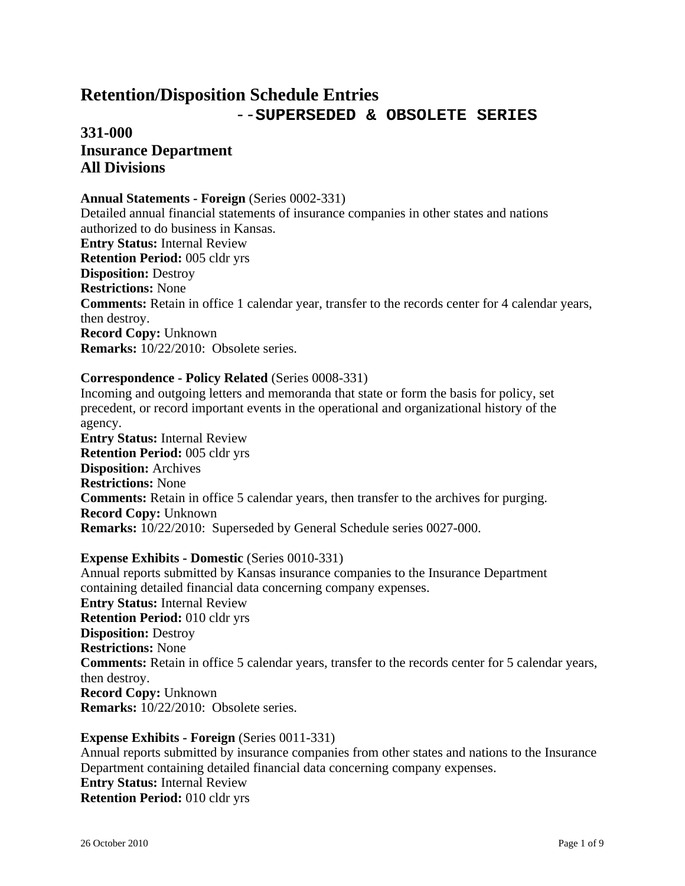--**SUPERSEDED & OBSOLETE SERIES**

# **331-000 Insurance Department All Divisions**

#### **Annual Statements - Foreign** (Series 0002-331)

Detailed annual financial statements of insurance companies in other states and nations authorized to do business in Kansas. **Entry Status:** Internal Review **Retention Period:** 005 cldr yrs **Disposition:** Destroy **Restrictions:** None **Comments:** Retain in office 1 calendar year, transfer to the records center for 4 calendar years, then destroy. **Record Copy:** Unknown **Remarks:** 10/22/2010: Obsolete series.

#### **Correspondence - Policy Related** (Series 0008-331)

Incoming and outgoing letters and memoranda that state or form the basis for policy, set precedent, or record important events in the operational and organizational history of the agency. **Entry Status:** Internal Review

**Retention Period:** 005 cldr yrs **Disposition:** Archives **Restrictions:** None **Comments:** Retain in office 5 calendar years, then transfer to the archives for purging. **Record Copy:** Unknown **Remarks:** 10/22/2010: Superseded by General Schedule series 0027-000.

#### **Expense Exhibits - Domestic** (Series 0010-331)

Annual reports submitted by Kansas insurance companies to the Insurance Department containing detailed financial data concerning company expenses. **Entry Status:** Internal Review **Retention Period:** 010 cldr yrs **Disposition:** Destroy **Restrictions:** None **Comments:** Retain in office 5 calendar years, transfer to the records center for 5 calendar years, then destroy. **Record Copy:** Unknown **Remarks:** 10/22/2010: Obsolete series.

### **Expense Exhibits - Foreign** (Series 0011-331)

Annual reports submitted by insurance companies from other states and nations to the Insurance Department containing detailed financial data concerning company expenses. **Entry Status:** Internal Review **Retention Period:** 010 cldr yrs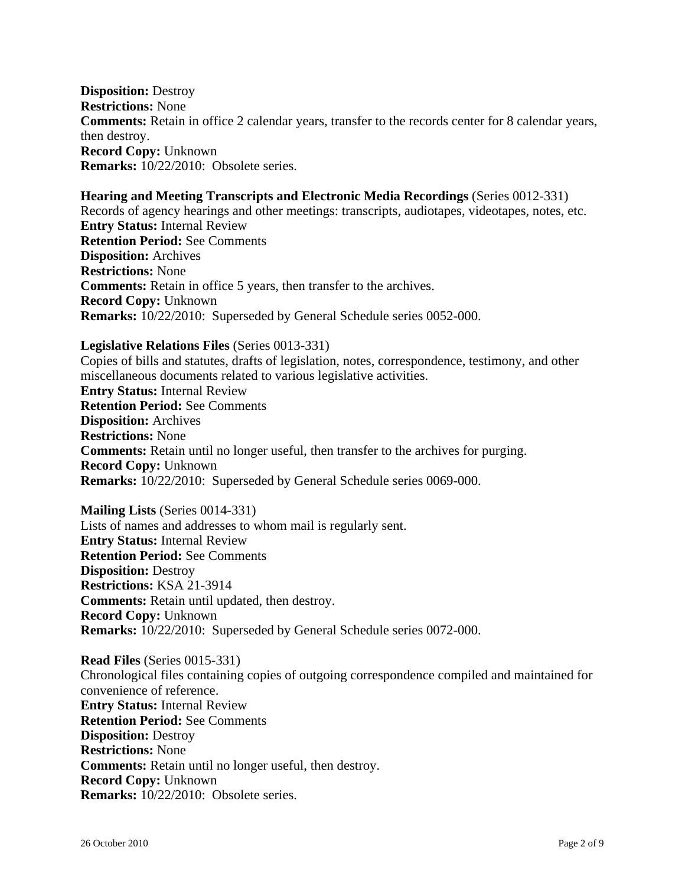**Disposition:** Destroy **Restrictions:** None **Comments:** Retain in office 2 calendar years, transfer to the records center for 8 calendar years, then destroy. **Record Copy:** Unknown **Remarks:** 10/22/2010: Obsolete series.

#### **Hearing and Meeting Transcripts and Electronic Media Recordings** (Series 0012-331)

Records of agency hearings and other meetings: transcripts, audiotapes, videotapes, notes, etc. **Entry Status:** Internal Review **Retention Period:** See Comments **Disposition:** Archives **Restrictions:** None **Comments:** Retain in office 5 years, then transfer to the archives. **Record Copy:** Unknown **Remarks:** 10/22/2010: Superseded by General Schedule series 0052-000.

#### **Legislative Relations Files** (Series 0013-331)

Copies of bills and statutes, drafts of legislation, notes, correspondence, testimony, and other miscellaneous documents related to various legislative activities. **Entry Status:** Internal Review **Retention Period:** See Comments **Disposition:** Archives **Restrictions:** None **Comments:** Retain until no longer useful, then transfer to the archives for purging. **Record Copy:** Unknown **Remarks:** 10/22/2010: Superseded by General Schedule series 0069-000.

**Mailing Lists** (Series 0014-331) Lists of names and addresses to whom mail is regularly sent. **Entry Status:** Internal Review **Retention Period:** See Comments **Disposition:** Destroy **Restrictions:** KSA 21-3914 **Comments:** Retain until updated, then destroy. **Record Copy:** Unknown **Remarks:** 10/22/2010: Superseded by General Schedule series 0072-000.

**Read Files** (Series 0015-331) Chronological files containing copies of outgoing correspondence compiled and maintained for convenience of reference. **Entry Status:** Internal Review **Retention Period:** See Comments **Disposition:** Destroy **Restrictions:** None **Comments:** Retain until no longer useful, then destroy. **Record Copy:** Unknown **Remarks:** 10/22/2010: Obsolete series.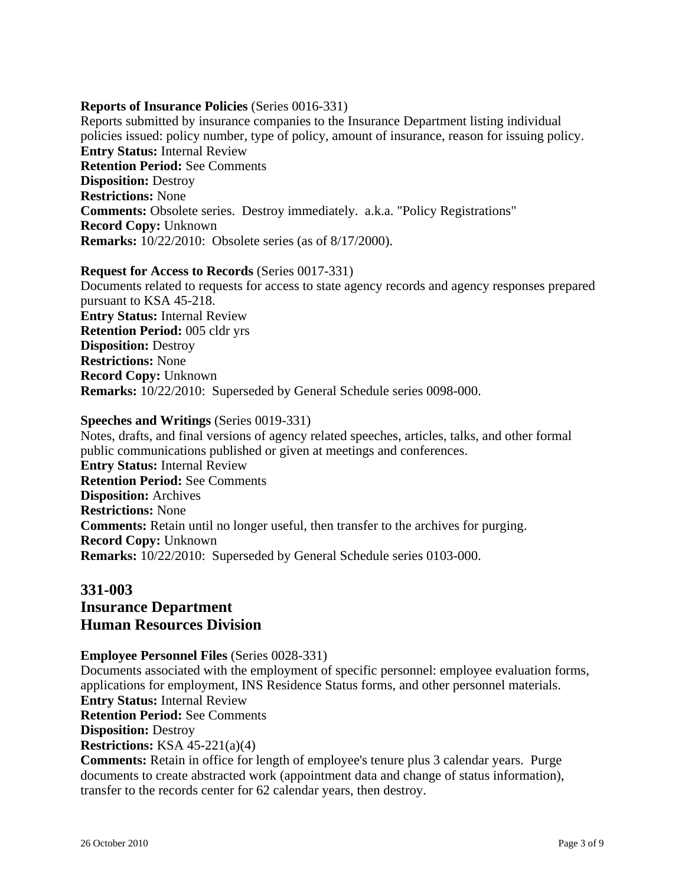#### **Reports of Insurance Policies** (Series 0016-331)

Reports submitted by insurance companies to the Insurance Department listing individual policies issued: policy number, type of policy, amount of insurance, reason for issuing policy. **Entry Status:** Internal Review **Retention Period:** See Comments **Disposition:** Destroy **Restrictions:** None **Comments:** Obsolete series. Destroy immediately. a.k.a. "Policy Registrations" **Record Copy:** Unknown **Remarks:** 10/22/2010: Obsolete series (as of 8/17/2000).

#### **Request for Access to Records** (Series 0017-331)

Documents related to requests for access to state agency records and agency responses prepared pursuant to KSA 45-218. **Entry Status:** Internal Review **Retention Period:** 005 cldr yrs **Disposition:** Destroy **Restrictions:** None **Record Copy:** Unknown **Remarks:** 10/22/2010: Superseded by General Schedule series 0098-000.

#### **Speeches and Writings** (Series 0019-331)

Notes, drafts, and final versions of agency related speeches, articles, talks, and other formal public communications published or given at meetings and conferences. **Entry Status:** Internal Review **Retention Period:** See Comments **Disposition:** Archives **Restrictions:** None **Comments:** Retain until no longer useful, then transfer to the archives for purging. **Record Copy:** Unknown **Remarks:** 10/22/2010: Superseded by General Schedule series 0103-000.

## **331-003 Insurance Department Human Resources Division**

**Employee Personnel Files** (Series 0028-331)

Documents associated with the employment of specific personnel: employee evaluation forms, applications for employment, INS Residence Status forms, and other personnel materials. **Entry Status:** Internal Review **Retention Period:** See Comments **Disposition:** Destroy **Restrictions:** KSA 45-221(a)(4) **Comments:** Retain in office for length of employee's tenure plus 3 calendar years. Purge documents to create abstracted work (appointment data and change of status information), transfer to the records center for 62 calendar years, then destroy.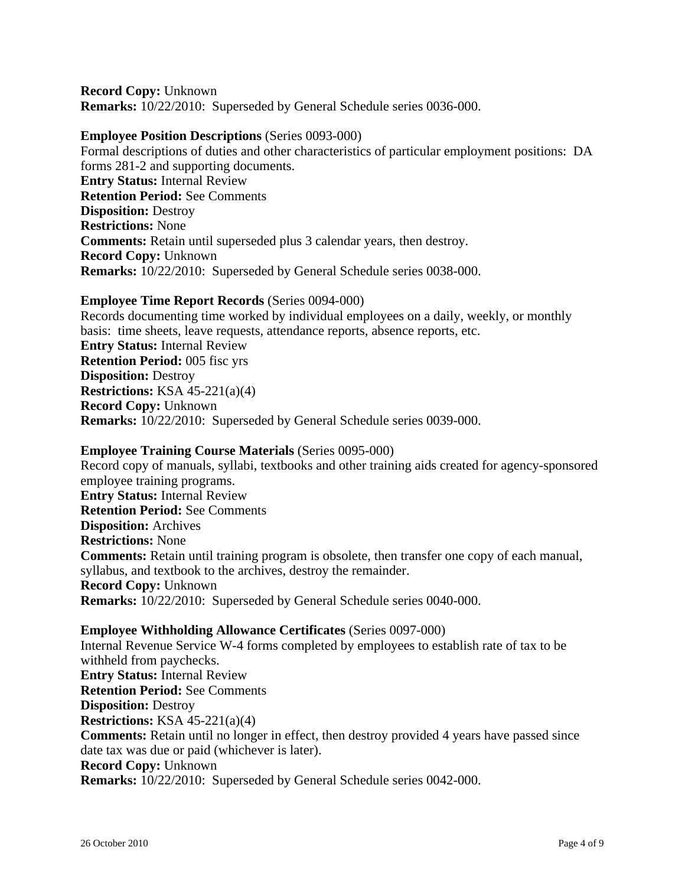**Record Copy:** Unknown **Remarks:** 10/22/2010: Superseded by General Schedule series 0036-000.

#### **Employee Position Descriptions** (Series 0093-000)

Formal descriptions of duties and other characteristics of particular employment positions: DA forms 281-2 and supporting documents. **Entry Status:** Internal Review **Retention Period:** See Comments **Disposition:** Destroy **Restrictions:** None **Comments:** Retain until superseded plus 3 calendar years, then destroy. **Record Copy:** Unknown **Remarks:** 10/22/2010: Superseded by General Schedule series 0038-000.

#### **Employee Time Report Records** (Series 0094-000)

Records documenting time worked by individual employees on a daily, weekly, or monthly basis: time sheets, leave requests, attendance reports, absence reports, etc. **Entry Status:** Internal Review **Retention Period:** 005 fisc yrs **Disposition:** Destroy **Restrictions:** KSA 45-221(a)(4) **Record Copy:** Unknown **Remarks:** 10/22/2010: Superseded by General Schedule series 0039-000.

#### **Employee Training Course Materials** (Series 0095-000)

Record copy of manuals, syllabi, textbooks and other training aids created for agency-sponsored employee training programs. **Entry Status:** Internal Review **Retention Period:** See Comments **Disposition:** Archives **Restrictions:** None **Comments:** Retain until training program is obsolete, then transfer one copy of each manual, syllabus, and textbook to the archives, destroy the remainder. **Record Copy:** Unknown **Remarks:** 10/22/2010: Superseded by General Schedule series 0040-000.

#### **Employee Withholding Allowance Certificates** (Series 0097-000)

Internal Revenue Service W-4 forms completed by employees to establish rate of tax to be withheld from paychecks. **Entry Status:** Internal Review **Retention Period:** See Comments **Disposition:** Destroy **Restrictions:** KSA 45-221(a)(4) **Comments:** Retain until no longer in effect, then destroy provided 4 years have passed since date tax was due or paid (whichever is later). **Record Copy:** Unknown **Remarks:** 10/22/2010: Superseded by General Schedule series 0042-000.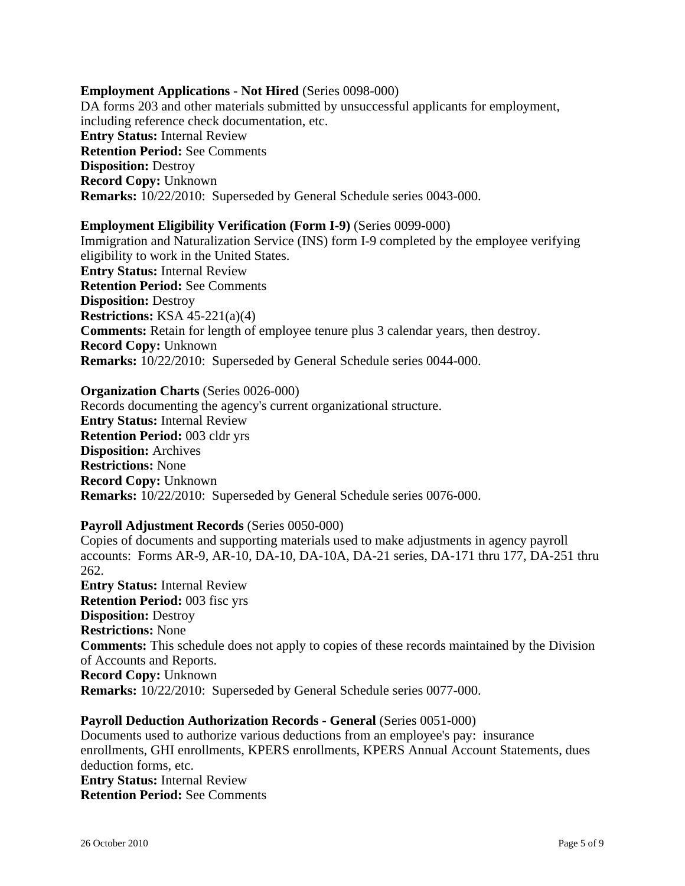#### **Employment Applications - Not Hired** (Series 0098-000)

DA forms 203 and other materials submitted by unsuccessful applicants for employment, including reference check documentation, etc. **Entry Status:** Internal Review **Retention Period:** See Comments **Disposition:** Destroy **Record Copy:** Unknown **Remarks:** 10/22/2010: Superseded by General Schedule series 0043-000.

#### **Employment Eligibility Verification (Form I-9)** (Series 0099-000)

Immigration and Naturalization Service (INS) form I-9 completed by the employee verifying eligibility to work in the United States. **Entry Status:** Internal Review **Retention Period:** See Comments **Disposition:** Destroy **Restrictions:** KSA 45-221(a)(4) **Comments:** Retain for length of employee tenure plus 3 calendar years, then destroy. **Record Copy:** Unknown **Remarks:** 10/22/2010: Superseded by General Schedule series 0044-000.

#### **Organization Charts** (Series 0026-000)

Records documenting the agency's current organizational structure. **Entry Status:** Internal Review **Retention Period:** 003 cldr yrs **Disposition:** Archives **Restrictions:** None **Record Copy:** Unknown **Remarks:** 10/22/2010: Superseded by General Schedule series 0076-000.

#### **Payroll Adjustment Records** (Series 0050-000)

Copies of documents and supporting materials used to make adjustments in agency payroll accounts: Forms AR-9, AR-10, DA-10, DA-10A, DA-21 series, DA-171 thru 177, DA-251 thru 262. **Entry Status:** Internal Review **Retention Period:** 003 fisc yrs **Disposition:** Destroy **Restrictions:** None **Comments:** This schedule does not apply to copies of these records maintained by the Division of Accounts and Reports. **Record Copy:** Unknown **Remarks:** 10/22/2010: Superseded by General Schedule series 0077-000.

#### **Payroll Deduction Authorization Records - General** (Series 0051-000)

Documents used to authorize various deductions from an employee's pay: insurance enrollments, GHI enrollments, KPERS enrollments, KPERS Annual Account Statements, dues deduction forms, etc. **Entry Status:** Internal Review **Retention Period:** See Comments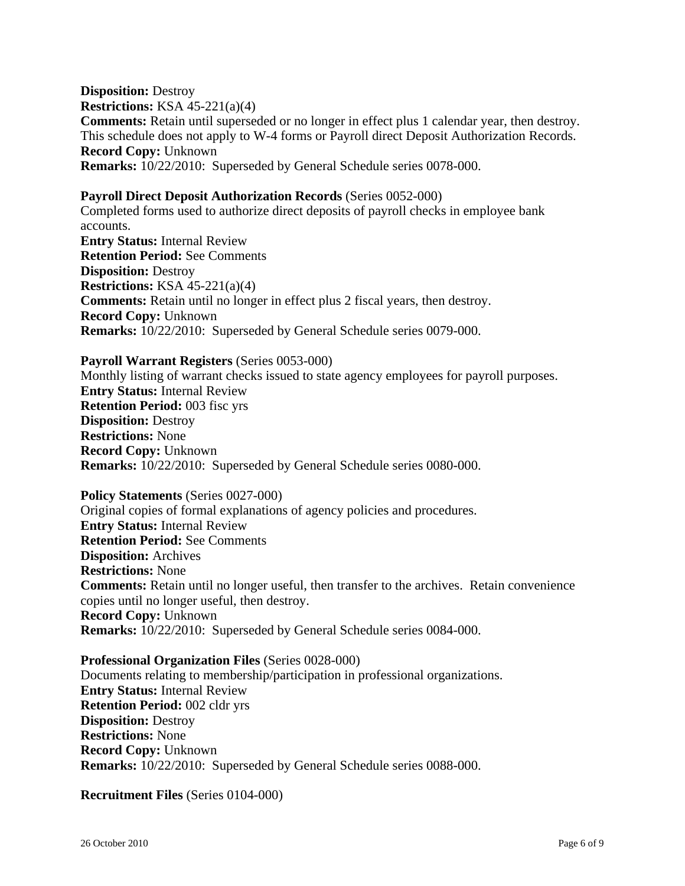**Disposition:** Destroy **Restrictions:** KSA 45-221(a)(4) **Comments:** Retain until superseded or no longer in effect plus 1 calendar year, then destroy. This schedule does not apply to W-4 forms or Payroll direct Deposit Authorization Records. **Record Copy:** Unknown **Remarks:** 10/22/2010: Superseded by General Schedule series 0078-000.

#### **Payroll Direct Deposit Authorization Records** (Series 0052-000)

Completed forms used to authorize direct deposits of payroll checks in employee bank accounts. **Entry Status:** Internal Review **Retention Period:** See Comments **Disposition:** Destroy **Restrictions:** KSA 45-221(a)(4) **Comments:** Retain until no longer in effect plus 2 fiscal years, then destroy. **Record Copy:** Unknown **Remarks:** 10/22/2010: Superseded by General Schedule series 0079-000.

**Payroll Warrant Registers** (Series 0053-000)

Monthly listing of warrant checks issued to state agency employees for payroll purposes. **Entry Status:** Internal Review **Retention Period:** 003 fisc yrs **Disposition:** Destroy **Restrictions:** None **Record Copy:** Unknown **Remarks:** 10/22/2010: Superseded by General Schedule series 0080-000.

#### **Policy Statements** (Series 0027-000)

Original copies of formal explanations of agency policies and procedures. **Entry Status:** Internal Review **Retention Period:** See Comments **Disposition:** Archives **Restrictions:** None **Comments:** Retain until no longer useful, then transfer to the archives. Retain convenience copies until no longer useful, then destroy. **Record Copy:** Unknown **Remarks:** 10/22/2010: Superseded by General Schedule series 0084-000.

**Professional Organization Files** (Series 0028-000) Documents relating to membership/participation in professional organizations. **Entry Status:** Internal Review **Retention Period:** 002 cldr yrs **Disposition:** Destroy **Restrictions:** None **Record Copy:** Unknown **Remarks:** 10/22/2010: Superseded by General Schedule series 0088-000.

**Recruitment Files** (Series 0104-000)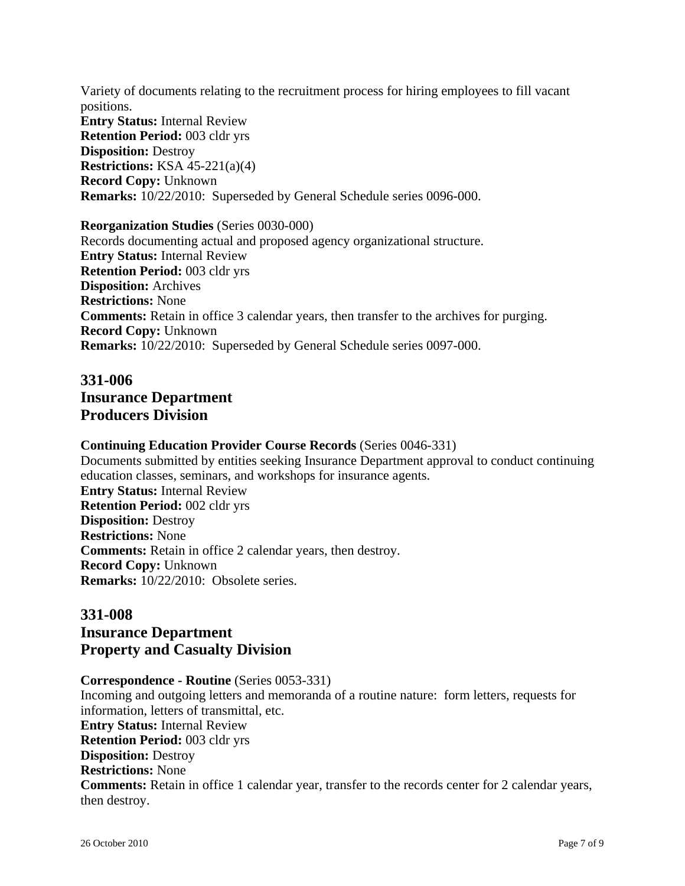Variety of documents relating to the recruitment process for hiring employees to fill vacant positions. **Entry Status:** Internal Review **Retention Period:** 003 cldr yrs **Disposition:** Destroy **Restrictions:** KSA 45-221(a)(4) **Record Copy:** Unknown **Remarks:** 10/22/2010: Superseded by General Schedule series 0096-000.

#### **Reorganization Studies** (Series 0030-000)

Records documenting actual and proposed agency organizational structure. **Entry Status:** Internal Review **Retention Period:** 003 cldr yrs **Disposition:** Archives **Restrictions:** None **Comments:** Retain in office 3 calendar years, then transfer to the archives for purging. **Record Copy:** Unknown **Remarks:** 10/22/2010: Superseded by General Schedule series 0097-000.

# **331-006 Insurance Department Producers Division**

#### **Continuing Education Provider Course Records** (Series 0046-331)

Documents submitted by entities seeking Insurance Department approval to conduct continuing education classes, seminars, and workshops for insurance agents. **Entry Status:** Internal Review **Retention Period:** 002 cldr yrs **Disposition:** Destroy **Restrictions:** None **Comments:** Retain in office 2 calendar years, then destroy. **Record Copy:** Unknown **Remarks:** 10/22/2010: Obsolete series.

# **331-008 Insurance Department Property and Casualty Division**

#### **Correspondence - Routine** (Series 0053-331)

Incoming and outgoing letters and memoranda of a routine nature: form letters, requests for information, letters of transmittal, etc. **Entry Status:** Internal Review **Retention Period:** 003 cldr yrs **Disposition:** Destroy **Restrictions:** None **Comments:** Retain in office 1 calendar year, transfer to the records center for 2 calendar years, then destroy.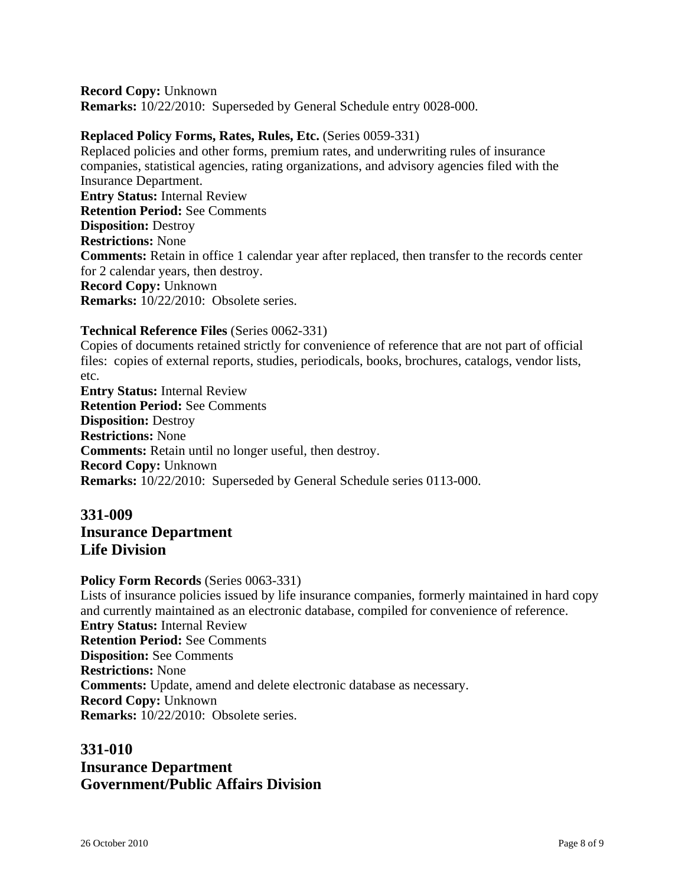**Record Copy:** Unknown **Remarks:** 10/22/2010: Superseded by General Schedule entry 0028-000.

#### **Replaced Policy Forms, Rates, Rules, Etc.** (Series 0059-331)

Replaced policies and other forms, premium rates, and underwriting rules of insurance companies, statistical agencies, rating organizations, and advisory agencies filed with the Insurance Department. **Entry Status:** Internal Review **Retention Period:** See Comments **Disposition:** Destroy **Restrictions:** None **Comments:** Retain in office 1 calendar year after replaced, then transfer to the records center for 2 calendar years, then destroy. **Record Copy:** Unknown **Remarks:** 10/22/2010: Obsolete series.

#### **Technical Reference Files** (Series 0062-331)

Copies of documents retained strictly for convenience of reference that are not part of official files: copies of external reports, studies, periodicals, books, brochures, catalogs, vendor lists, etc.

**Entry Status:** Internal Review **Retention Period:** See Comments **Disposition:** Destroy **Restrictions:** None **Comments:** Retain until no longer useful, then destroy. **Record Copy:** Unknown **Remarks:** 10/22/2010: Superseded by General Schedule series 0113-000.

## **331-009 Insurance Department Life Division**

#### **Policy Form Records** (Series 0063-331)

Lists of insurance policies issued by life insurance companies, formerly maintained in hard copy and currently maintained as an electronic database, compiled for convenience of reference. **Entry Status:** Internal Review **Retention Period:** See Comments **Disposition:** See Comments **Restrictions:** None **Comments:** Update, amend and delete electronic database as necessary. **Record Copy:** Unknown **Remarks:** 10/22/2010: Obsolete series.

# **331-010 Insurance Department Government/Public Affairs Division**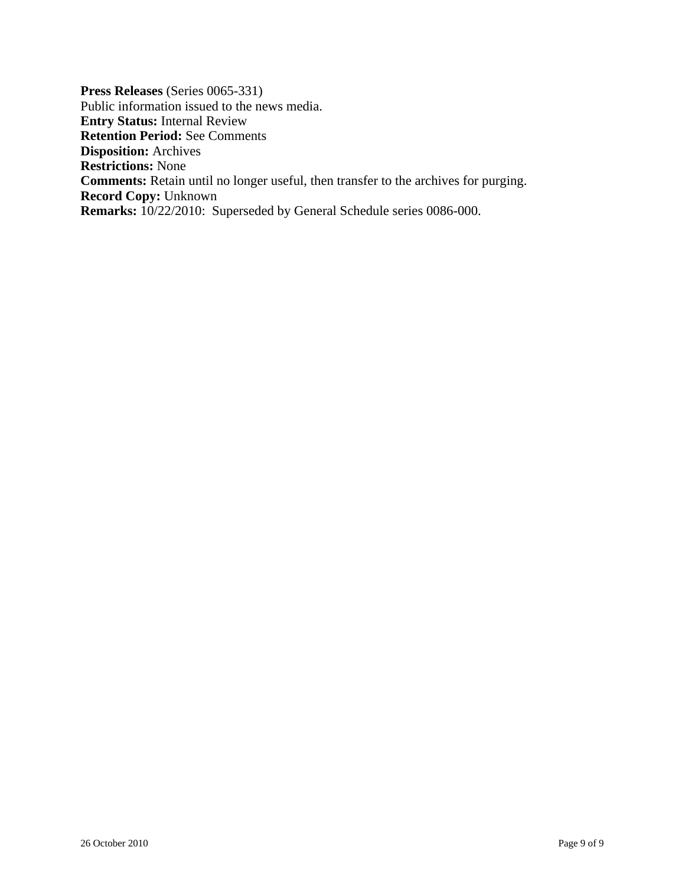**Press Releases** (Series 0065-331) Public information issued to the news media. **Entry Status:** Internal Review **Retention Period:** See Comments **Disposition:** Archives **Restrictions:** None **Comments:** Retain until no longer useful, then transfer to the archives for purging. **Record Copy:** Unknown **Remarks:** 10/22/2010: Superseded by General Schedule series 0086-000.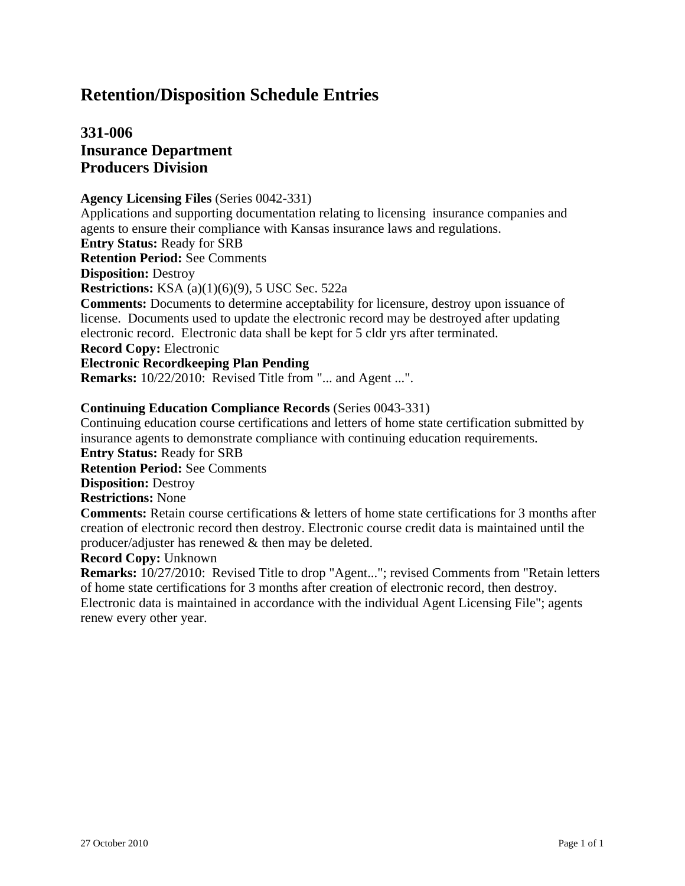# **331-006 Insurance Department Producers Division**

#### **Agency Licensing Files** (Series 0042-331)

Applications and supporting documentation relating to licensing insurance companies and agents to ensure their compliance with Kansas insurance laws and regulations. **Entry Status:** Ready for SRB **Retention Period:** See Comments **Disposition:** Destroy **Restrictions:** KSA (a)(1)(6)(9), 5 USC Sec. 522a **Comments:** Documents to determine acceptability for licensure, destroy upon issuance of license. Documents used to update the electronic record may be destroyed after updating electronic record. Electronic data shall be kept for 5 cldr yrs after terminated. **Record Copy:** Electronic **Electronic Recordkeeping Plan Pending Remarks:** 10/22/2010: Revised Title from "... and Agent ...".

## **Continuing Education Compliance Records** (Series 0043-331)

Continuing education course certifications and letters of home state certification submitted by insurance agents to demonstrate compliance with continuing education requirements. **Entry Status:** Ready for SRB

**Retention Period:** See Comments

**Disposition:** Destroy

**Restrictions:** None

**Comments:** Retain course certifications & letters of home state certifications for 3 months after creation of electronic record then destroy. Electronic course credit data is maintained until the producer/adjuster has renewed & then may be deleted.

#### **Record Copy:** Unknown

**Remarks:** 10/27/2010: Revised Title to drop "Agent..."; revised Comments from "Retain letters of home state certifications for 3 months after creation of electronic record, then destroy. Electronic data is maintained in accordance with the individual Agent Licensing File"; agents renew every other year.